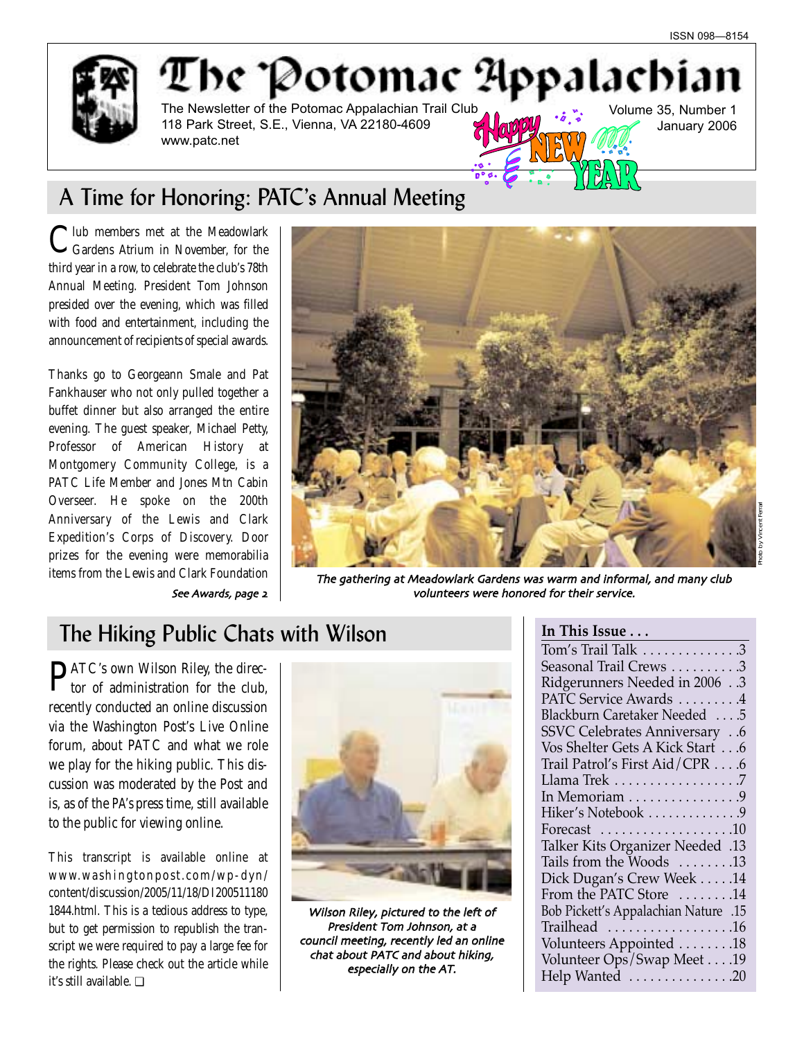

## The Potomac Appalachi The Newsletter of the Potomac Appalachian Trail Club

118 Park Street, S.E., Vienna, VA 22180-4609 www.patc.net

Volume 35, Number 1 January 2006

# A Time for Honoring: PATC's Annual Meeting

Iub members met at the Meadowlark Gardens Atrium in November, for the third year in a row, to celebrate the club's 78th Annual Meeting. President Tom Johnson presided over the evening, which was filled with food and entertainment, including the announcement of recipients of special awards.

Thanks go to Georgeann Smale and Pat Fankhauser who not only pulled together a buffet dinner but also arranged the entire evening. The guest speaker, Michael Petty, Professor of American History at Montgomery Community College, is a PATC Life Member and Jones Mtn Cabin Overseer. He spoke on the 200th Anniversary of the Lewis and Clark Expedition's Corps of Discovery. Door prizes for the evening were memorabilia



items from the Lewis and Clark Foundation The gathering at Meadowlark Gardens was warm and informal, and many club See Awards, page 2 volunteers were honored for their service.

## **The Hiking Public Chats with Wilson**

PATC's own Wilson Riley, the direc-tor of administration for the club, recently conducted an online discussion via the Washington Post's Live Online forum, about PATC and what we role we play for the hiking public. This discussion was moderated by the Post and is, as of the *PA's* press time, still available to the public for viewing online.

This transcript is available online at www.washingtonpost.com/wp-dyn/ content/discussion/2005/11/18/DI200511180 1844.html. This is a tedious address to type, but to get permission to republish the transcript we were required to pay a large fee for the rights. Please check out the article while it's still available. ❏



Wilson Riley, pictured to the left of President Tom Johnson, at a council meeting, recently led an online chat about PATC and about hiking especially on the AT

| In This Issue                                                                                                                                                                            |
|------------------------------------------------------------------------------------------------------------------------------------------------------------------------------------------|
| $\mathop{\mathrm{Tom}}\nolimits{}'\mathop{\mathrm{s}}\nolimits\mathop{\mathrm{Trail}}\nolimits\mathop{\mathrm{Talk}}\nolimits\ldots\ldots\ldots\ldots\ldots\mathop{\mathrm{3}}\nolimits$ |
| Seasonal Trail Crews 3                                                                                                                                                                   |
| Ridgerunners Needed in 20063                                                                                                                                                             |
| PATC Service Awards 4                                                                                                                                                                    |
| Blackburn Caretaker Needed 5                                                                                                                                                             |
| <b>SSVC Celebrates Anniversary</b> 6                                                                                                                                                     |
| Vos Shelter Gets A Kick Start 6                                                                                                                                                          |
| Trail Patrol's First Aid/CPR 6                                                                                                                                                           |
| Llama Trek 7                                                                                                                                                                             |
| In Memoriam $\dots\dots\dots\dots\dots9$                                                                                                                                                 |
| Hiker's Notebook 9                                                                                                                                                                       |
| Forecast $\ldots \ldots \ldots \ldots \ldots 10$                                                                                                                                         |
| 13. Talker Kits Organizer Needed                                                                                                                                                         |
| Tails from the Woods 13                                                                                                                                                                  |
| Dick Dugan's Crew Week 14                                                                                                                                                                |
| From the PATC Store 14                                                                                                                                                                   |
| 15. Bob Pickett's Appalachian Nature                                                                                                                                                     |
| Trailhead 16                                                                                                                                                                             |
| Volunteers Appointed 18                                                                                                                                                                  |
| Volunteer Ops/Swap Meet 19                                                                                                                                                               |
| Help Wanted 20                                                                                                                                                                           |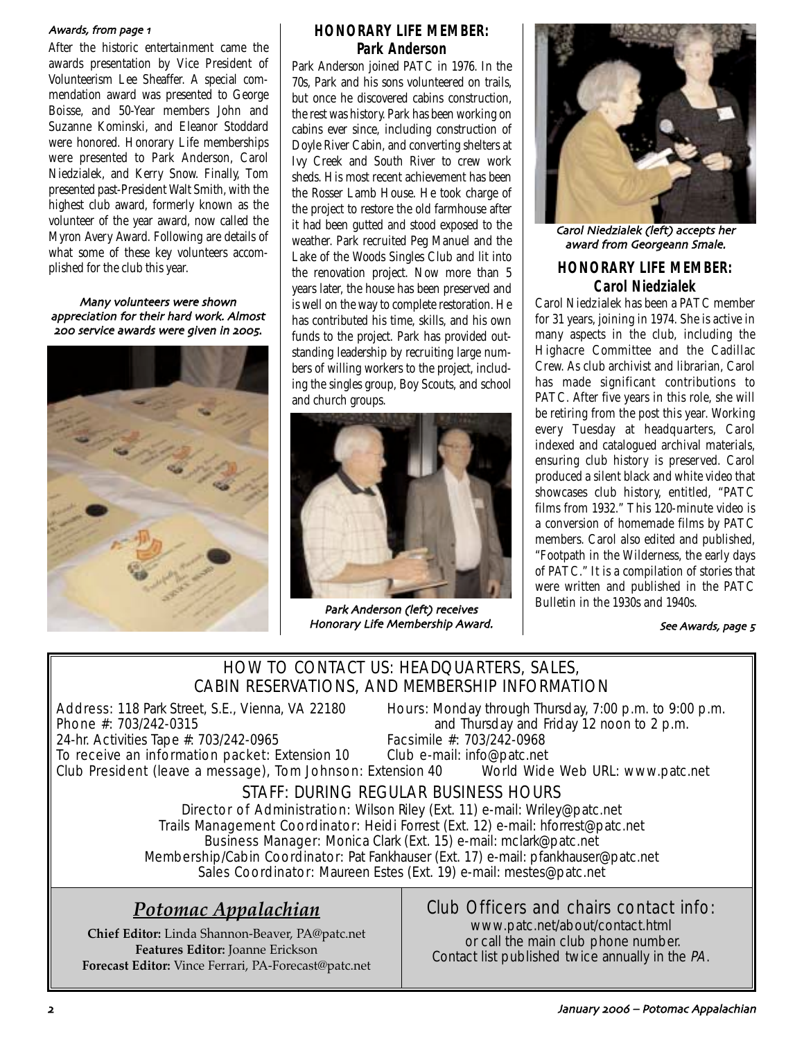#### Awards, from page 1

After the historic entertainment came the awards presentation by Vice President of Volunteerism Lee Sheaffer. A special commendation award was presented to George Boisse, and 50-Year members John and Suzanne Kominski, and Eleanor Stoddard were honored. Honorary Life memberships were presented to Park Anderson, Carol Niedzialek, and Kerry Snow. Finally, Tom presented past-President Walt Smith, with the highest club award, formerly known as the volunteer of the year award, now called the Myron Avery Award. Following are details of what some of these key volunteers accomplished for the club this year.

Many volunteers were shown appreciation for their hard work. Almost 200 service awards were given in 2005.



### **HONORARY LIFE MEMBER: Park Anderson**

Park Anderson joined PATC in 1976. In the 70s, Park and his sons volunteered on trails, but once he discovered cabins construction the rest was history. Park has been working on cabins ever since, including construction of Doyle River Cabin, and converting shelters at Ivy Creek and South River to crew work sheds. His most recent achievement has been the Rosser Lamb House. He took charge of the project to restore the old farmhouse after it had been gutted and stood exposed to the weather. Park recruited Peg Manuel and the Lake of the Woods Singles Club and lit into the renovation project. Now more than 5 years later, the house has been preserved and is well on the way to complete restoration. He has contributed his time, skills, and his own funds to the project. Park has provided outstanding leadership by recruiting large numbers of willing workers to the project, including the singles group, Boy Scouts, and school and church groups.



Park Anderson (left) receives Honorary Life Membership Award



Carol Niedzialek (left) accepts her award from Georgeann Smale.

### **HONORARY LIFE MEMBER: Carol Niedzialek**

Carol Niedzialek has been a PATC member for 31 years, joining in 1974. She is active in many aspects in the club, including the Highacre Committee and the Cadillac Crew. As club archivist and librarian, Carol has made significant contributions to PATC. After five years in this role, she will be retiring from the post this year. Working every Tuesday at headquarters, Carol indexed and catalogued archival materials, ensuring club history is preserved. Carol produced a silent black and white video that showcases club history, entitled, "PATC films from 1932." This 120-minute video is a conversion of homemade films by PATC members. Carol also edited and published, "Footpath in the Wilderness, the early days of PATC." It is a compilation of stories that were written and published in the PATC Bulletin in the 1930s and 1940s.

#### See Awards, page 5

### HOW TO CONTACT US: HEADQUARTERS, SALES, CABIN RESERVATIONS, AND MEMBERSHIP INFORMATION

24-hr. Activities Tape #: 703/242-0965

Address: 118 Park Street, S.E., Vienna, VA 22180 Hours: Monday through Thursday, 7:00 p.m. to 9:00 p.m.<br>Phone #: 703/242-0315 **Phone** #: 703/242-0315 and Thursday and Friday 12 noon to 2 p.m.<br>Facsimile #: 703/242-0968

To receive an information packet: Extension 10 Club e-mail: info@patc.net Club President (leave a message), Tom Johnson: Extension 40 World Wide Web URL: www.patc.net

## STAFF: DURING REGULAR BUSINESS HOURS

Director of Administration: Wilson Riley (Ext. 11) e-mail: Wriley@patc.net Trails Management Coordinator: Heidi Forrest (Ext. 12) e-mail: hforrest@patc.net Business Manager: Monica Clark (Ext. 15) e-mail: mclark@patc.net Membership/Cabin Coordinator: Pat Fankhauser (Ext. 17) e-mail: pfankhauser@patc.net Sales Coordinator: Maureen Estes (Ext. 19) e-mail: mestes@patc.net

## *Potomac Appalachian*

**Chief Editor:** Linda Shannon-Beaver, PA@patc.net **Features Editor:** Joanne Erickson **Forecast Editor:** Vince Ferrari, PA-Forecast@patc.net

## Club Officers and chairs contact info:

www.patc.net/about/contact.html or call the main club phone number. Contact list published twice annually in the PA.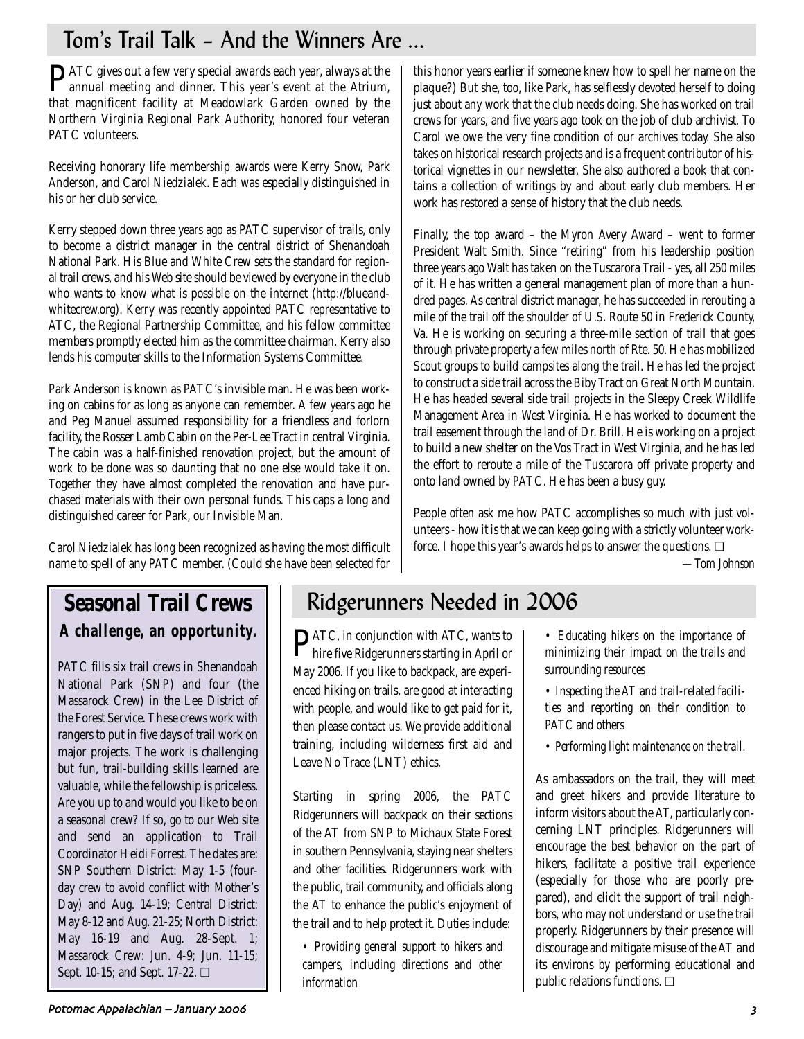# Tom's Trail Talk – And the Winners Are ...

PATC gives out a few very special awards each year, always at the annual meeting and dinner. This year's event at the Atrium, that magnificent facility at Meadowlark Garden owned by the Northern Virginia Regional Park Authority, honored four veteran PATC volunteers.

Receiving honorary life membership awards were Kerry Snow, Park Anderson, and Carol Niedzialek. Each was especially distinguished in his or her club service.

Kerry stepped down three years ago as PATC supervisor of trails, only to become a district manager in the central district of Shenandoah National Park. His Blue and White Crew sets the standard for regional trail crews, and his Web site should be viewed by everyone in the club who wants to know what is possible on the internet (http://blueandwhitecrew.org). Kerry was recently appointed PATC representative to ATC, the Regional Partnership Committee, and his fellow committee members promptly elected him as the committee chairman. Kerry also lends his computer skills to the Information Systems Committee.

Park Anderson is known as PATC's invisible man. He was been working on cabins for as long as anyone can remember. A few years ago he and Peg Manuel assumed responsibility for a friendless and forlorn facility, the Rosser Lamb Cabin on the Per-Lee Tract in central Virginia. The cabin was a half-finished renovation project, but the amount of work to be done was so daunting that no one else would take it on. Together they have almost completed the renovation and have purchased materials with their own personal funds. This caps a long and distinguished career for Park, our Invisible Man.

Carol Niedzialek has long been recognized as having the most difficult name to spell of any PATC member. (Could she have been selected for

**Seasonal Trail Crews A challenge, an opportunity.**

PATC fills six trail crews in Shenandoah National Park (SNP) and four (the Massarock Crew) in the Lee District of the Forest Service. These crews work with rangers to put in five days of trail work on major projects. The work is challenging but fun, trail-building skills learned are valuable, while the fellowship is priceless. Are you up to and would you like to be on a seasonal crew? If so, go to our Web site and send an application to Trail Coordinator Heidi Forrest. The dates are: SNP Southern District: May 1-5 (fourday crew to avoid conflict with Mother's Day) and Aug. 14-19; Central District: May 8-12 and Aug. 21-25; North District: May 16-19 and Aug. 28-Sept. 1; Massarock Crew: Jun. 4-9; Jun. 11-15; Sept. 10-15; and Sept. 17-22. ❏

## Ridgerunners Needed in 2006

PATC, in conjunction with ATC, wants to hire five Ridgerunners starting in April or May 2006. If you like to backpack, are experienced hiking on trails, are good at interacting with people, and would like to get paid for it, then please contact us. We provide additional training, including wilderness first aid and Leave No Trace (LNT) ethics.

Starting in spring 2006, the PATC Ridgerunners will backpack on their sections of the AT from SNP to Michaux State Forest in southern Pennsylvania, staying near shelters and other facilities. Ridgerunners work with the public, trail community, and officials along the AT to enhance the public's enjoyment of the trail and to help protect it. Duties include:

*• Providing general support to hikers and campers, including directions and other information* 

this honor years earlier if someone knew how to spell her name on the plaque?) But she, too, like Park, has selflessly devoted herself to doing just about any work that the club needs doing. She has worked on trail crews for years, and five years ago took on the job of club archivist. To Carol we owe the very fine condition of our archives today. She also takes on historical research projects and is a frequent contributor of historical vignettes in our newsletter. She also authored a book that contains a collection of writings by and about early club members. Her work has restored a sense of history that the club needs.

Finally, the top award – the Myron Avery Award – went to former President Walt Smith. Since "retiring" from his leadership position three years ago Walt has taken on the Tuscarora Trail - yes, all 250 miles of it. He has written a general management plan of more than a hundred pages. As central district manager, he has succeeded in rerouting a mile of the trail off the shoulder of U.S. Route 50 in Frederick County, Va. He is working on securing a three-mile section of trail that goes through private property a few miles north of Rte. 50. He has mobilized Scout groups to build campsites along the trail. He has led the project to construct a side trail across the Biby Tract on Great North Mountain. He has headed several side trail projects in the Sleepy Creek Wildlife Management Area in West Virginia. He has worked to document the trail easement through the land of Dr. Brill. He is working on a project to build a new shelter on the Vos Tract in West Virginia, and he has led the effort to reroute a mile of the Tuscarora off private property and onto land owned by PATC. He has been a busy guy.

People often ask me how PATC accomplishes so much with just volunteers - how it is that we can keep going with a strictly volunteer workforce. I hope this year's awards helps to answer the questions. ❏

*—Tom Johnson*

- *Educating hikers on the importance of minimizing their impact on the trails and surrounding resources*
- *Inspecting the AT and trail-related facilities and reporting on their condition to PATC and others*
- *Performing light maintenance on the trail.*

As ambassadors on the trail, they will meet and greet hikers and provide literature to inform visitors about the AT, particularly concerning LNT principles. Ridgerunners will encourage the best behavior on the part of hikers, facilitate a positive trail experience (especially for those who are poorly prepared), and elicit the support of trail neighbors, who may not understand or use the trail properly. Ridgerunners by their presence will discourage and mitigate misuse of the AT and its environs by performing educational and public relations functions. ❏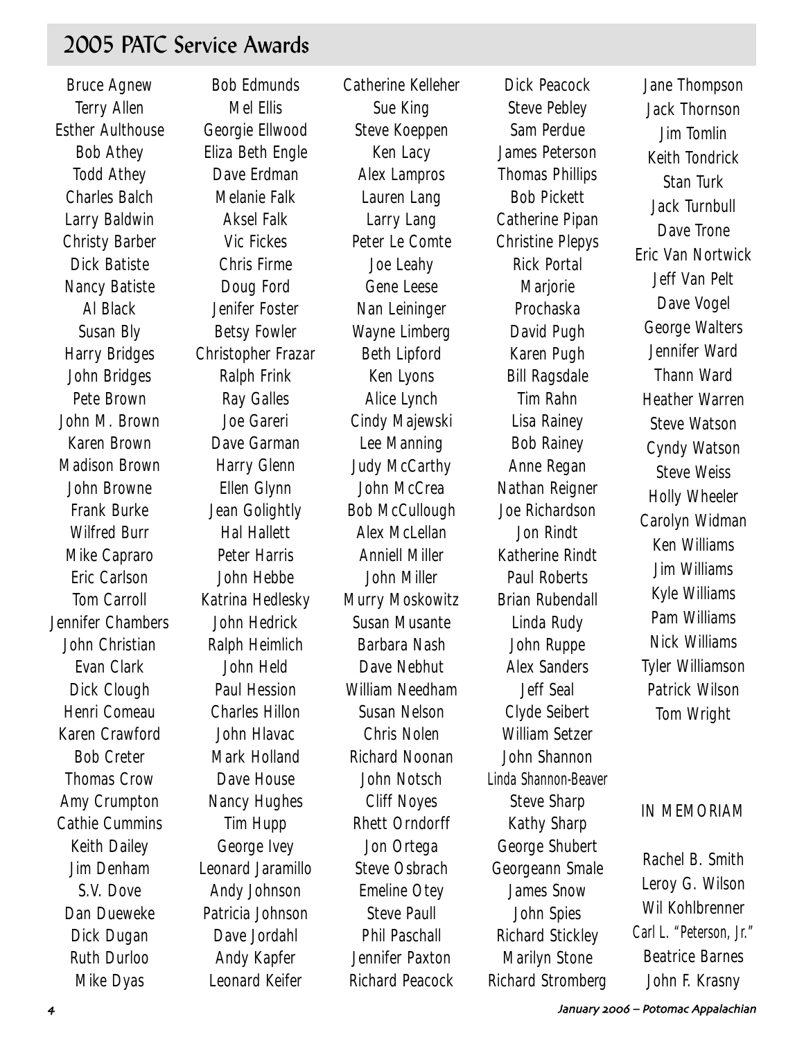## 2005 PATC Service Awards

Bruce Agnew Terry Allen Esther Aulthouse Bob Athey Todd Athey Charles Balch Larry Baldwin Christy Barber Dick Batiste Nancy Batiste Al Black Susan Bly Harry Bridges John Bridges Pete Brown John M. Brown Karen Brown Madison Brown John Browne Frank Burke Wilfred Burr Mike Capraro Eric Carlson Tom Carroll Jennifer Chambers John Christian Evan Clark Dick Clough Henri Comeau Karen Crawford Bob Creter Thomas Crow Amy Crumpton Cathie Cummins Keith Dailey Jim Denham S.V. Dove Dan Dueweke Dick Dugan Ruth Durloo Mike Dyas

Bob Edmunds Mel Ellis Georgie Ellwood Eliza Beth Engle Dave Erdman Melanie Falk Aksel Falk Vic Fickes Chris Firme Doug Ford Jenifer Foster Betsy Fowler Christopher Frazar Ralph Frink Ray Galles Joe Gareri Dave Garman Harry Glenn Ellen Glynn Jean Golightly Hal Hallett Peter Harris John Hebbe Katrina Hedlesky John Hedrick Ralph Heimlich John Held Paul Hession Charles Hillon John Hlavac Mark Holland Dave House Nancy Hughes Tim Hupp George Ivey Leonard Jaramillo Andy Johnson Patricia Johnson Dave Jordahl Andy Kapfer Leonard Keifer

Catherine Kelleher Sue King Steve Koeppen Ken Lacy Alex Lampros Lauren Lang Larry Lang Peter Le Comte Joe Leahy Gene Leese Nan Leininger Wayne Limberg Beth Lipford Ken Lyons Alice Lynch Cindy Majewski Lee Manning Judy McCarthy John McCrea Bob McCullough Alex McLellan Anniell Miller John Miller Murry Moskowitz Susan Musante Barbara Nash Dave Nebhut William Needham Susan Nelson Chris Nolen Richard Noonan John Notsch Cliff Noyes Rhett Orndorff Jon Ortega Steve Osbrach Emeline Otey Steve Paull Phil Paschall Jennifer Paxton Richard Peacock

Dick Peacock Steve Pebley Sam Perdue James Peterson Thomas Phillips Bob Pickett Catherine Pipan Christine Plepys Rick Portal **Marjorie** Prochaska David Pugh Karen Pugh Bill Ragsdale Tim Rahn Lisa Rainey Bob Rainey Anne Regan Nathan Reigner Joe Richardson Jon Rindt Katherine Rindt Paul Roberts Brian Rubendall Linda Rudy John Ruppe Alex Sanders Jeff Seal Clyde Seibert William Setzer John Shannon Linda Shannon-Beaver Steve Sharp Kathy Sharp George Shubert Georgeann Smale James Snow John Spies Richard Stickley Marilyn Stone Richard Stromberg

Jane Thompson Jack Thornson Jim Tomlin Keith Tondrick Stan Turk Jack Turnbull Dave Trone Eric Van Nortwick Jeff Van Pelt Dave Vogel George Walters Jennifer Ward Thann Ward Heather Warren Steve Watson Cyndy Watson Steve Weiss Holly Wheeler Carolyn Widman Ken Williams Jim Williams Kyle Williams Pam Williams Nick Williams Tyler Williamson Patrick Wilson Tom Wright

### IN MEMORIAM

Rachel B. Smith Leroy G. Wilson Wil Kohlbrenner Carl L. "Peterson, Jr." Beatrice Barnes John F. Krasny

1 January 2006 – Potomac Appalachian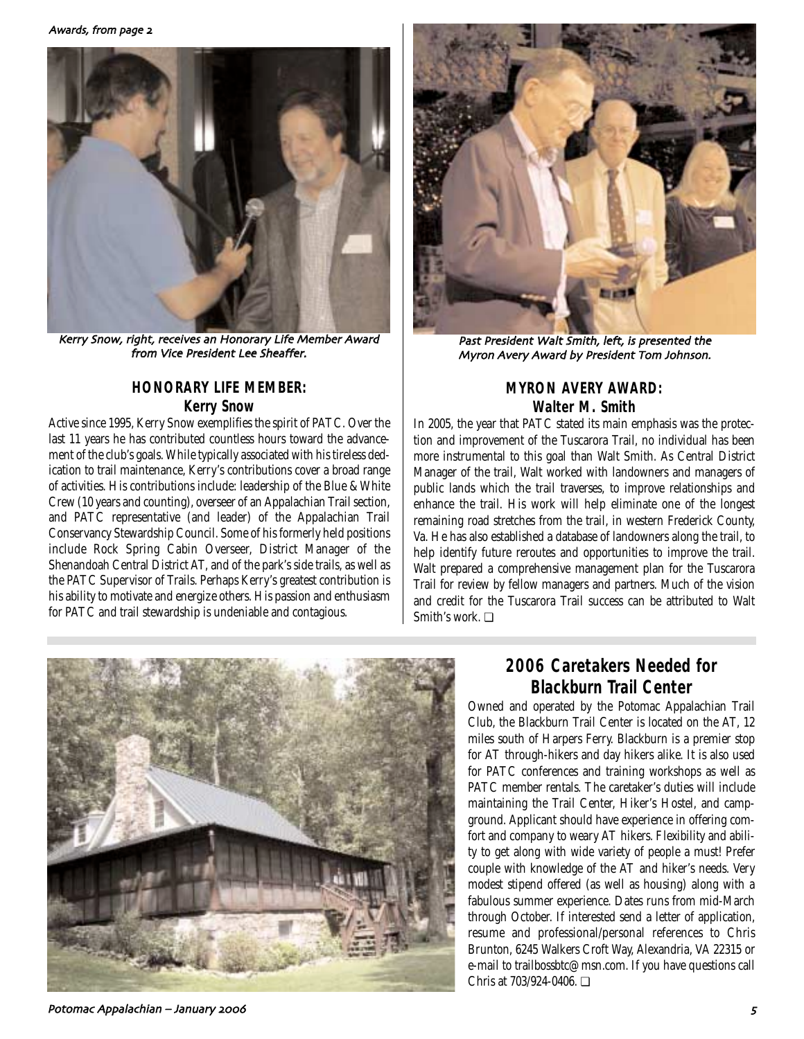

Kerry Snow, right, receives an Honorary Life Member Award from Vice President Lee Sheaffer

### **HONORARY LIFE MEMBER: Kerry Snow**

Active since 1995, Kerry Snow exemplifies the spirit of PATC. Over the last 11 years he has contributed countless hours toward the advancement of the club's goals. While typically associated with his tireless dedication to trail maintenance, Kerry's contributions cover a broad range of activities. His contributions include: leadership of the Blue & White Crew (10 years and counting), overseer of an Appalachian Trail section, and PATC representative (and leader) of the Appalachian Trail Conservancy Stewardship Council. Some of his formerly held positions include Rock Spring Cabin Overseer, District Manager of the Shenandoah Central District AT, and of the park's side trails, as well as the PATC Supervisor of Trails. Perhaps Kerry's greatest contribution is his ability to motivate and energize others. His passion and enthusiasm for PATC and trail stewardship is undeniable and contagious.



Past President Walt Smith, left, is presented the Myron Avery Award by President Tom Johnson

### **MYRON AVERY AWARD: Walter M. Smith**

In 2005, the year that PATC stated its main emphasis was the protection and improvement of the Tuscarora Trail, no individual has been more instrumental to this goal than Walt Smith. As Central District Manager of the trail, Walt worked with landowners and managers of public lands which the trail traverses, to improve relationships and enhance the trail. His work will help eliminate one of the longest remaining road stretches from the trail, in western Frederick County, Va. He has also established a database of landowners along the trail, to help identify future reroutes and opportunities to improve the trail. Walt prepared a comprehensive management plan for the Tuscarora Trail for review by fellow managers and partners. Much of the vision and credit for the Tuscarora Trail success can be attributed to Walt Smith's work. ❏



## **2006 Caretakers Needed for Blackburn Trail Center**

Owned and operated by the Potomac Appalachian Trail Club, the Blackburn Trail Center is located on the AT, 12 miles south of Harpers Ferry. Blackburn is a premier stop for AT through-hikers and day hikers alike. It is also used for PATC conferences and training workshops as well as PATC member rentals. The caretaker's duties will include maintaining the Trail Center, Hiker's Hostel, and campground. Applicant should have experience in offering comfort and company to weary AT hikers. Flexibility and ability to get along with wide variety of people a must! Prefer couple with knowledge of the AT and hiker's needs. Very modest stipend offered (as well as housing) along with a fabulous summer experience. Dates runs from mid-March through October. If interested send a letter of application, resume and professional/personal references to Chris Brunton, 6245 Walkers Croft Way, Alexandria, VA 22315 or e-mail to trailbossbtc@msn.com. If you have questions call Chris at 703/924-0406. ❏

Potomac Appalachian – January %%& ,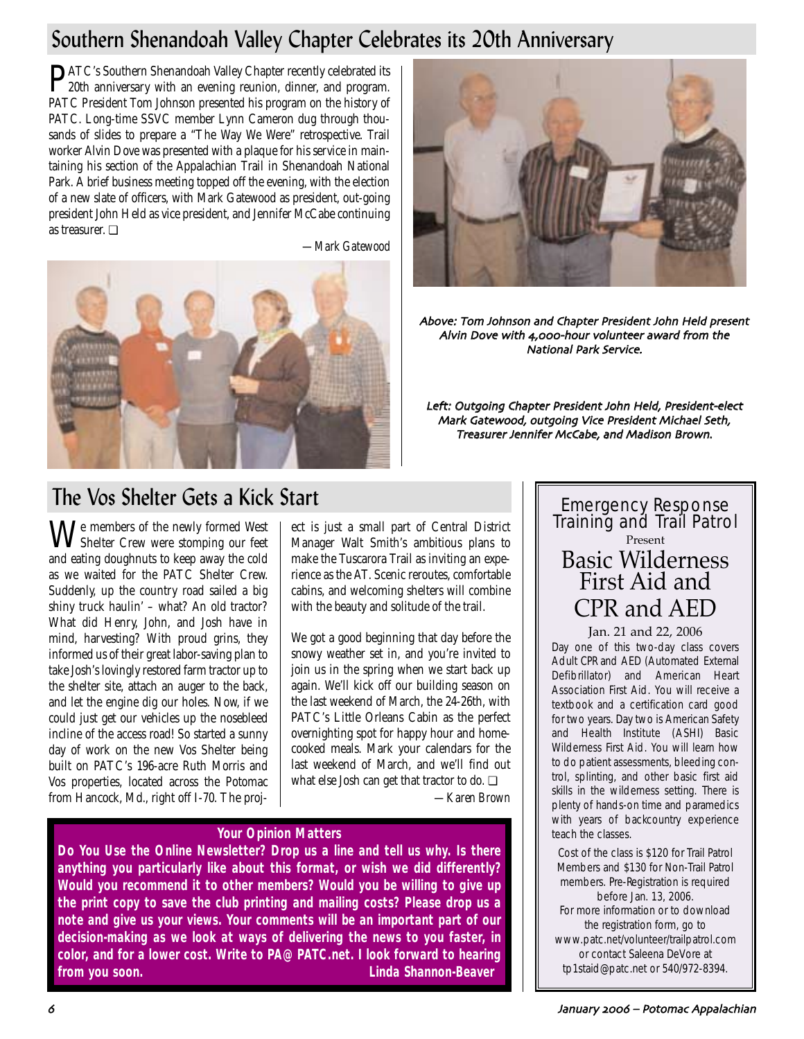## Southern Shenandoah Valley Chapter Celebrates its 20th Anniversary

PATC's Southern Shenandoah Valley Chapter recently celebrated its 20th anniversary with an evening reunion, dinner, and program. PATC President Tom Johnson presented his program on the history of PATC. Long-time SSVC member Lynn Cameron dug through thousands of slides to prepare a "The Way We Were" retrospective. Trail worker Alvin Dove was presented with a plaque for his service in maintaining his section of the Appalachian Trail in Shenandoah National Park. A brief business meeting topped off the evening, with the election of a new slate of officers, with Mark Gatewood as president, out-going president John Held as vice president, and Jennifer McCabe continuing as treasurer. ❏

*—Mark Gatewood*





Above: Tom Johnson and Chapter President John Held present Alvin Dove with 4,000-hour volunteer award from the National Park Service

Left: Outgoing Chapter President John Held, President-elect Mark Gatewood, outgoing Vice President Michael Seth, Treasurer Jennifer McCabe, and Madison Brown.

## The Vos Shelter Gets a Kick Start

We members of the newly formed West Shelter Crew were stomping our feet and eating doughnuts to keep away the cold as we waited for the PATC Shelter Crew. Suddenly, up the country road sailed a big shiny truck haulin' – what? An old tractor? What did Henry, John, and Josh have in mind, harvesting? With proud grins, they informed us of their great labor-saving plan to take Josh's lovingly restored farm tractor up to the shelter site, attach an auger to the back, and let the engine dig our holes. Now, if we could just get our vehicles up the nosebleed incline of the access road! So started a sunny day of work on the new Vos Shelter being built on PATC's 196-acre Ruth Morris and Vos properties, located across the Potomac from Hancock, Md., right off I-70. The proj-

ect is just a small part of Central District Manager Walt Smith's ambitious plans to make the Tuscarora Trail as inviting an experience as the AT. Scenic reroutes, comfortable cabins, and welcoming shelters will combine with the beauty and solitude of the trail.

We got a good beginning that day before the snowy weather set in, and you're invited to join us in the spring when we start back up again. We'll kick off our building season on the last weekend of March, the 24-26th, with PATC's Little Orleans Cabin as the perfect overnighting spot for happy hour and homecooked meals. Mark your calendars for the last weekend of March, and we'll find out what else Josh can get that tractor to do. **□** 

*—Karen Brown*

### **Your Opinion Matters**

**Do You Use the Online Newsletter? Drop us a line and tell us why. Is there anything you particularly like about this format, or wish we did differently? Would you recommend it to other members? Would you be willing to give up the print copy to save the club printing and mailing costs? Please drop us a note and give us your views. Your comments will be an important part of our decision-making as we look at ways of delivering the news to you faster, in color, and for a lower cost. Write to PA@PATC.net. I look forward to hearing from you soon. Linda Shannon-Beaver**

## Emergency Response Training and Trail Patrol Present Basic Wilderness First Aid and CPR and AED

### Jan. 21 and 22, 2006

Day one of this two-day class covers Adult CPR and AED (Automated External Defibrillator) and American Heart Association First Aid. You will receive a textbook and a certification card good for two years. Day two is American Safety and Health Institute (ASHI) Basic Wilderness First Aid. You will learn how to do patient assessments, bleeding control, splinting, and other basic first aid skills in the wilderness setting. There is plenty of hands-on time and paramedics with years of backcountry experience teach the classes.

Cost of the class is \$120 for Trail Patrol Members and \$130 for Non-Trail Patrol members. Pre-Registration is required before Jan. 13, 2006. For more information or to download the registration form, go to www.patc.net/volunteer/trailpatrol.com or contact Saleena DeVore at tp1staid@patc.net or 540/972-8394.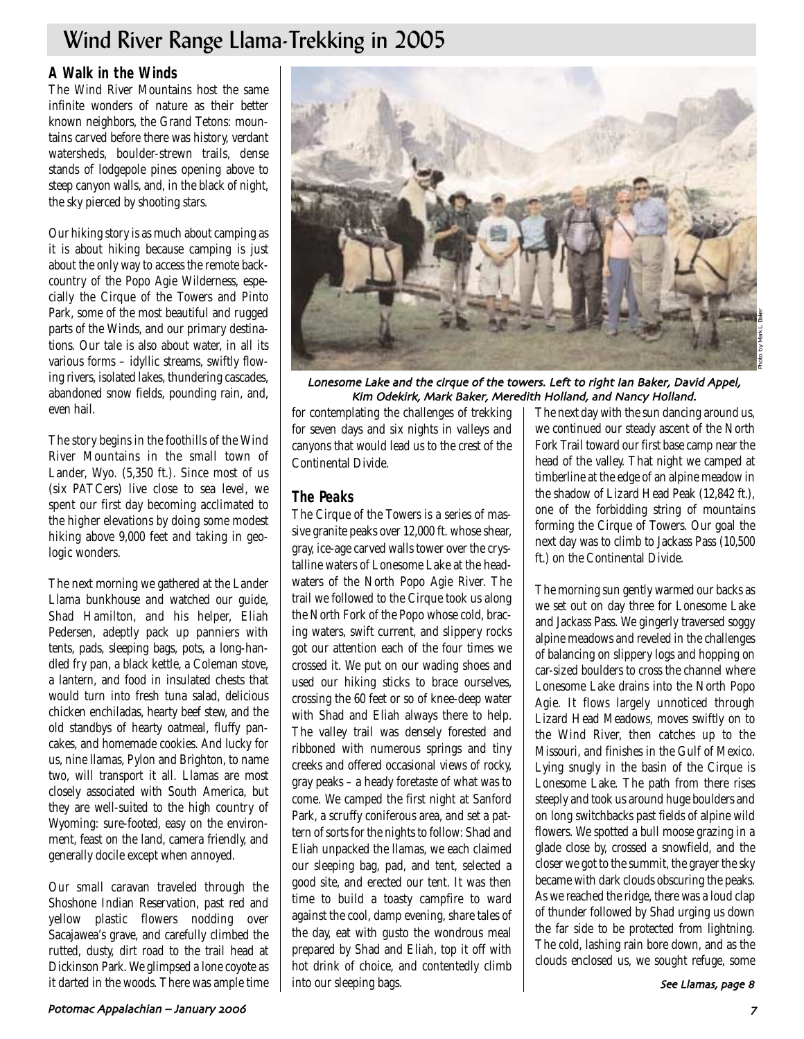## Wind River Range Llama-Trekking in 2005

### **A Walk in the Winds**

The Wind River Mountains host the same infinite wonders of nature as their better known neighbors, the Grand Tetons: mountains carved before there was history, verdant watersheds, boulder-strewn trails, dense stands of lodgepole pines opening above to steep canyon walls, and, in the black of night, the sky pierced by shooting stars.

Our hiking story is as much about camping as it is about hiking because camping is just about the only way to access the remote backcountry of the Popo Agie Wilderness, especially the Cirque of the Towers and Pinto Park, some of the most beautiful and rugged parts of the Winds, and our primary destinations. Our tale is also about water, in all its various forms – idyllic streams, swiftly flowing rivers, isolated lakes, thundering cascades, abandoned snow fields, pounding rain, and, even hail.

The story begins in the foothills of the Wind River Mountains in the small town of Lander, Wyo. (5,350 ft.). Since most of us (six PATCers) live close to sea level, we spent our first day becoming acclimated to the higher elevations by doing some modest hiking above 9,000 feet and taking in geologic wonders.

The next morning we gathered at the Lander Llama bunkhouse and watched our guide, Shad Hamilton, and his helper, Eliah Pedersen, adeptly pack up panniers with tents, pads, sleeping bags, pots, a long-handled fry pan, a black kettle, a Coleman stove, a lantern, and food in insulated chests that would turn into fresh tuna salad, delicious chicken enchiladas, hearty beef stew, and the old standbys of hearty oatmeal, fluffy pancakes, and homemade cookies. And lucky for us, nine llamas, Pylon and Brighton, to name two, will transport it all. Llamas are most closely associated with South America, but they are well-suited to the high country of Wyoming: sure-footed, easy on the environment, feast on the land, camera friendly, and generally docile except when annoyed.

Our small caravan traveled through the Shoshone Indian Reservation, past red and yellow plastic flowers nodding over Sacajawea's grave, and carefully climbed the rutted, dusty, dirt road to the trail head at Dickinson Park. We glimpsed a lone coyote as it darted in the woods. There was ample time



Lonesome Lake and the cirque of the towers. Left to right Ian Baker, David Appel, Kim Odekirk, Mark Baker, Meredith Holland, and Nancy Holland.

for contemplating the challenges of trekking for seven days and six nights in valleys and canyons that would lead us to the crest of the Continental Divide.

### **The Peaks**

The Cirque of the Towers is a series of massive granite peaks over 12,000 ft. whose shear, gray, ice-age carved walls tower over the crystalline waters of Lonesome Lake at the headwaters of the North Popo Agie River. The trail we followed to the Cirque took us along the North Fork of the Popo whose cold, bracing waters, swift current, and slippery rocks got our attention each of the four times we crossed it. We put on our wading shoes and used our hiking sticks to brace ourselves, crossing the 60 feet or so of knee-deep water with Shad and Eliah always there to help. The valley trail was densely forested and ribboned with numerous springs and tiny creeks and offered occasional views of rocky, gray peaks – a heady foretaste of what was to come. We camped the first night at Sanford Park, a scruffy coniferous area, and set a pattern of sorts for the nights to follow: Shad and Eliah unpacked the llamas, we each claimed our sleeping bag, pad, and tent, selected a good site, and erected our tent. It was then time to build a toasty campfire to ward against the cool, damp evening, share tales of the day, eat with gusto the wondrous meal prepared by Shad and Eliah, top it off with hot drink of choice, and contentedly climb into our sleeping bags.

The next day with the sun dancing around us, we continued our steady ascent of the North Fork Trail toward our first base camp near the head of the valley. That night we camped at timberline at the edge of an alpine meadow in the shadow of Lizard Head Peak (12,842 ft.), one of the forbidding string of mountains forming the Cirque of Towers. Our goal the next day was to climb to Jackass Pass (10,500 ft.) on the Continental Divide.

The morning sun gently warmed our backs as we set out on day three for Lonesome Lake and Jackass Pass. We gingerly traversed soggy alpine meadows and reveled in the challenges of balancing on slippery logs and hopping on car-sized boulders to cross the channel where Lonesome Lake drains into the North Popo Agie. It flows largely unnoticed through Lizard Head Meadows, moves swiftly on to the Wind River, then catches up to the Missouri, and finishes in the Gulf of Mexico. Lying snugly in the basin of the Cirque is Lonesome Lake. The path from there rises steeply and took us around huge boulders and on long switchbacks past fields of alpine wild flowers. We spotted a bull moose grazing in a glade close by, crossed a snowfield, and the closer we got to the summit, the grayer the sky became with dark clouds obscuring the peaks. As we reached the ridge, there was a loud clap of thunder followed by Shad urging us down the far side to be protected from lightning. The cold, lashing rain bore down, and as the clouds enclosed us, we sought refuge, some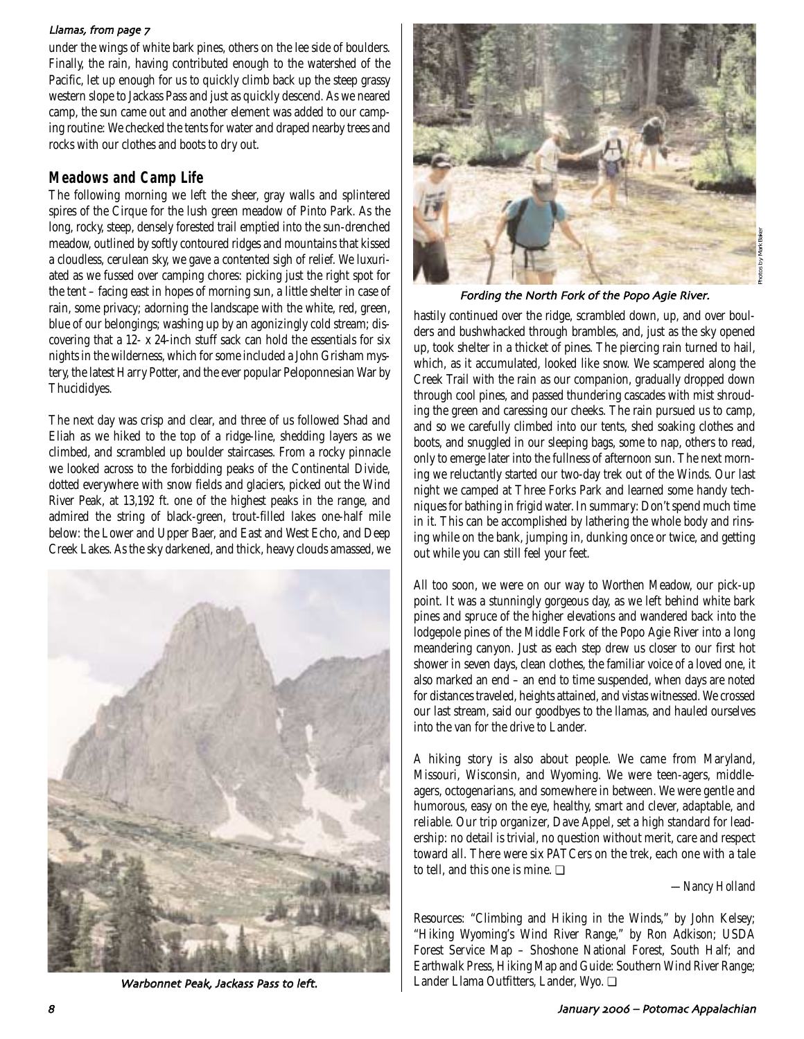#### Llamas, from page 7

under the wings of white bark pines, others on the lee side of boulders. Finally, the rain, having contributed enough to the watershed of the Pacific, let up enough for us to quickly climb back up the steep grassy western slope to Jackass Pass and just as quickly descend. As we neared camp, the sun came out and another element was added to our camping routine: We checked the tents for water and draped nearby trees and rocks with our clothes and boots to dry out.

### **Meadows and Camp Life**

The following morning we left the sheer, gray walls and splintered spires of the Cirque for the lush green meadow of Pinto Park. As the long, rocky, steep, densely forested trail emptied into the sun-drenched meadow, outlined by softly contoured ridges and mountains that kissed a cloudless, cerulean sky, we gave a contented sigh of relief. We luxuriated as we fussed over camping chores: picking just the right spot for the tent – facing east in hopes of morning sun, a little shelter in case of rain, some privacy; adorning the landscape with the white, red, green, blue of our belongings; washing up by an agonizingly cold stream; discovering that a 12- x 24-inch stuff sack can hold the essentials for six nights in the wilderness, which for some included a John Grisham mystery, the latest Harry Potter, and the ever popular Peloponnesian War by Thucididyes.

The next day was crisp and clear, and three of us followed Shad and Eliah as we hiked to the top of a ridge-line, shedding layers as we climbed, and scrambled up boulder staircases. From a rocky pinnacle we looked across to the forbidding peaks of the Continental Divide, dotted everywhere with snow fields and glaciers, picked out the Wind River Peak, at 13,192 ft. one of the highest peaks in the range, and admired the string of black-green, trout-filled lakes one-half mile below: the Lower and Upper Baer, and East and West Echo, and Deep Creek Lakes. As the sky darkened, and thick, heavy clouds amassed, we



Warbonnet Peak, Jackass Pass to left.



Photos by Mark Baker

Fording the North Fork of the Popo Agie River

hastily continued over the ridge, scrambled down, up, and over boulders and bushwhacked through brambles, and, just as the sky opened up, took shelter in a thicket of pines. The piercing rain turned to hail, which, as it accumulated, looked like snow. We scampered along the Creek Trail with the rain as our companion, gradually dropped down through cool pines, and passed thundering cascades with mist shrouding the green and caressing our cheeks. The rain pursued us to camp, and so we carefully climbed into our tents, shed soaking clothes and boots, and snuggled in our sleeping bags, some to nap, others to read, only to emerge later into the fullness of afternoon sun. The next morning we reluctantly started our two-day trek out of the Winds. Our last night we camped at Three Forks Park and learned some handy techniques for bathing in frigid water. In summary: Don't spend much time in it. This can be accomplished by lathering the whole body and rinsing while on the bank, jumping in, dunking once or twice, and getting out while you can still feel your feet.

All too soon, we were on our way to Worthen Meadow, our pick-up point. It was a stunningly gorgeous day, as we left behind white bark pines and spruce of the higher elevations and wandered back into the lodgepole pines of the Middle Fork of the Popo Agie River into a long meandering canyon. Just as each step drew us closer to our first hot shower in seven days, clean clothes, the familiar voice of a loved one, it also marked an end – an end to time suspended, when days are noted for distances traveled, heights attained, and vistas witnessed. We crossed our last stream, said our goodbyes to the llamas, and hauled ourselves into the van for the drive to Lander.

A hiking story is also about people. We came from Maryland, Missouri, Wisconsin, and Wyoming. We were teen-agers, middleagers, octogenarians, and somewhere in between. We were gentle and humorous, easy on the eye, healthy, smart and clever, adaptable, and reliable. Our trip organizer, Dave Appel, set a high standard for leadership: no detail is trivial, no question without merit, care and respect toward all. There were six PATCers on the trek, each one with a tale to tell, and this one is mine. ❏

*—Nancy Holland*

Resources: "Climbing and Hiking in the Winds," by John Kelsey; "Hiking Wyoming's Wind River Range," by Ron Adkison; USDA Forest Service Map – Shoshone National Forest, South Half; and Earthwalk Press, Hiking Map and Guide: Southern Wind River Range; Lander Llama Outfitters, Lander, Wyo. ❏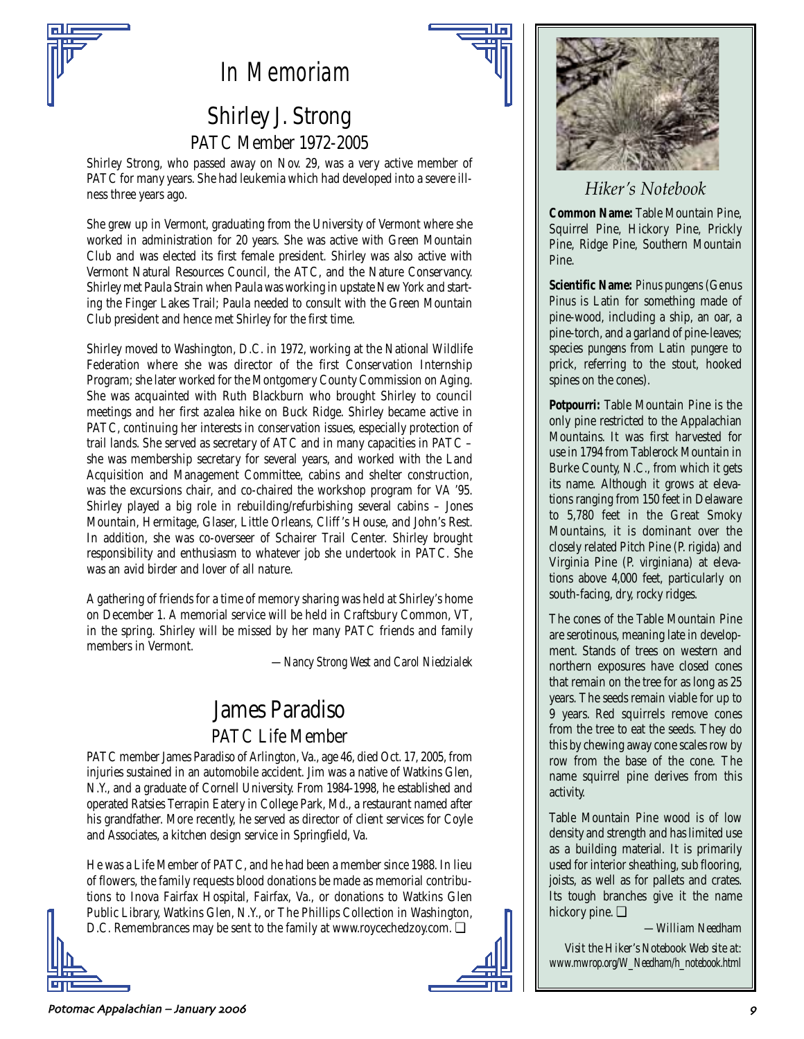# *In Memoriam*

## Shirley J. Strong PATC Member 1972-2005

Shirley Strong, who passed away on Nov. 29, was a very active member of PATC for many years. She had leukemia which had developed into a severe illness three years ago.

She grew up in Vermont, graduating from the University of Vermont where she worked in administration for 20 years. She was active with Green Mountain Club and was elected its first female president. Shirley was also active with Vermont Natural Resources Council, the ATC, and the Nature Conservancy. Shirley met Paula Strain when Paula was working in upstate New York and starting the Finger Lakes Trail; Paula needed to consult with the Green Mountain Club president and hence met Shirley for the first time.

Shirley moved to Washington, D.C. in 1972, working at the National Wildlife Federation where she was director of the first Conservation Internship Program; she later worked for the Montgomery County Commission on Aging. She was acquainted with Ruth Blackburn who brought Shirley to council meetings and her first azalea hike on Buck Ridge. Shirley became active in PATC, continuing her interests in conservation issues, especially protection of trail lands. She served as secretary of ATC and in many capacities in PATC – she was membership secretary for several years, and worked with the Land Acquisition and Management Committee, cabins and shelter construction, was the excursions chair, and co-chaired the workshop program for VA '95. Shirley played a big role in rebuilding/refurbishing several cabins – Jones Mountain, Hermitage, Glaser, Little Orleans, Cliff 's House, and John's Rest. In addition, she was co-overseer of Schairer Trail Center. Shirley brought responsibility and enthusiasm to whatever job she undertook in PATC. She was an avid birder and lover of all nature.

A gathering of friends for a time of memory sharing was held at Shirley's home on December 1. A memorial service will be held in Craftsbury Common, VT, in the spring. Shirley will be missed by her many PATC friends and family members in Vermont.

*—Nancy Strong West and Carol Niedzialek*

## James Paradiso PATC Life Member

PATC member James Paradiso of Arlington, Va., age 46, died Oct. 17, 2005, from injuries sustained in an automobile accident. Jim was a native of Watkins Glen, N.Y., and a graduate of Cornell University. From 1984-1998, he established and operated Ratsies Terrapin Eatery in College Park, Md., a restaurant named after his grandfather. More recently, he served as director of client services for Coyle and Associates, a kitchen design service in Springfield, Va.

He was a Life Member of PATC, and he had been a member since 1988. In lieu of flowers, the family requests blood donations be made as memorial contributions to Inova Fairfax Hospital, Fairfax, Va., or donations to Watkins Glen Public Library, Watkins Glen, N.Y., or The Phillips Collection in Washington, D.C. Remembrances may be sent to the family at www.roycechedzoy.com. □





## *Hiker's Notebook*

**Common Name:** Table Mountain Pine, Squirrel Pine, Hickory Pine, Prickly Pine, Ridge Pine, Southern Mountain Pine.

**Scientific Name:** *Pinus pungens* (Genus *Pinus* is Latin for something made of pine-wood, including a ship, an oar, a pine-torch, and a garland of pine-leaves; species *pungens* from Latin *pungere* to prick, referring to the stout, hooked spines on the cones).

**Potpourri:** Table Mountain Pine is the only pine restricted to the Appalachian Mountains. It was first harvested for use in 1794 from Tablerock Mountain in Burke County, N.C., from which it gets its name. Although it grows at elevations ranging from 150 feet in Delaware to 5,780 feet in the Great Smoky Mountains, it is dominant over the closely related Pitch Pine (P. rigida) and Virginia Pine (P. virginiana) at elevations above 4,000 feet, particularly on south-facing, dry, rocky ridges.

The cones of the Table Mountain Pine are serotinous, meaning late in development. Stands of trees on western and northern exposures have closed cones that remain on the tree for as long as 25 years. The seeds remain viable for up to 9 years. Red squirrels remove cones from the tree to eat the seeds. They do this by chewing away cone scales row by row from the base of the cone. The name squirrel pine derives from this activity.

Table Mountain Pine wood is of low density and strength and has limited use as a building material. It is primarily used for interior sheathing, sub flooring, joists, as well as for pallets and crates. Its tough branches give it the name hickory pine. ❏

*—William Needham*

*Visit the Hiker's Notebook Web site at: www.mwrop.org/W\_Needham/h\_notebook.html*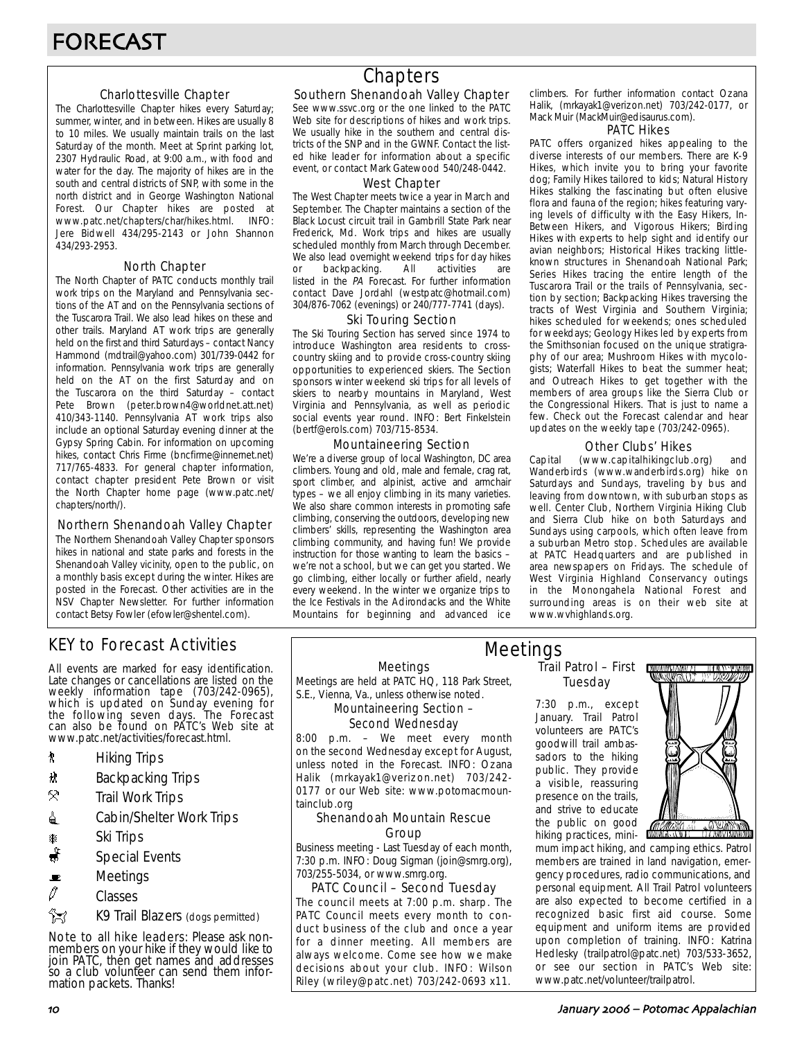#### Charlottesville Chapter

The Charlottesville Chapter hikes every Saturday; summer, winter, and in between. Hikes are usually 8 to 10 miles. We usually maintain trails on the last Saturday of the month. Meet at Sprint parking lot, 2307 Hydraulic Road, at 9:00 a.m., with food and water for the day. The majority of hikes are in the south and central districts of SNP, with some in the north district and in George Washington National Forest. Our Chapter hikes are posted at www.patc.net/chapters/char/hikes.html. INFO: Jere Bidwell 434/295-2143 or John Shannon 434/293-2953.

#### North Chapter

The North Chapter of PATC conducts monthly trail work trips on the Maryland and Pennsylvania sections of the AT and on the Pennsylvania sections of the Tuscarora Trail. We also lead hikes on these and other trails. Maryland AT work trips are generally held on the first and third Saturdays – contact Nancy Hammond (mdtrail@yahoo.com) 301/739-0442 for information. Pennsylvania work trips are generally held on the AT on the first Saturday and on the Tuscarora on the third Saturday – contact Pete Brown (peter.brown4@worldnet.att.net) 410/343-1140. Pennsylvania AT work trips also include an optional Saturday evening dinner at the Gypsy Spring Cabin. For information on upcoming hikes, contact Chris Firme (bncfirme@innernet.net) 717/765-4833. For general chapter information, contact chapter president Pete Brown or visit the North Chapter home page (www.patc.net/ chapters/north/).

#### Northern Shenandoah Valley Chapter

The Northern Shenandoah Valley Chapter sponsors hikes in national and state parks and forests in the Shenandoah Valley vicinity, open to the public, on a monthly basis except during the winter. Hikes are posted in the Forecast. Other activities are in the NSV Chapter Newsletter. For further information contact Betsy Fowler (efowler@shentel.com).

## KEY to Forecast Activities

All events are marked for easy identification. Late changes or cancellations are listed on the weekly information tape (703/242-0965), which is updated on Sunday evening for the following seven days. The Forecast can also be found on PATC's Web site at www.patc.net/activities/forecast.html.

- **\*** Hiking Trips
- \* Backpacking Trips
- $\mathcal{R}$  Trail Work Trips
- **i** Cabin/Shelter Work Trips
- **A** Ski Trips
- Special Events
- $\blacksquare$  Meetings
- $\varnothing$  Classes
- **Z** K9 Trail Blazers (dogs permitted)

Note to all hike leaders: Please ask nonmembers on your hike if they would like to join PATC, then get names and addresses so a club volunteer can send them information packets. Thanks!

## **Chapters**

### Southern Shenandoah Valley Chapter

See www.ssvc.org or the one linked to the PATC Web site for descriptions of hikes and work trips. We usually hike in the southern and central districts of the SNP and in the GWNF. Contact the listed hike leader for information about a specific event, or contact Mark Gatewood 540/248-0442.

#### West Chapter

The West Chapter meets twice a year in March and September. The Chapter maintains a section of the Black Locust circuit trail in Gambrill State Park near Frederick, Md. Work trips and hikes are usually scheduled monthly from March through December. We also lead overnight weekend trips for day hikes or backpacking. All activities are listed in the PA Forecast. For further information contact Dave Jordahl (westpatc@hotmail.com) 304/876-7062 (evenings) or 240/777-7741 (days).

#### Ski Touring Section

The Ski Touring Section has served since 1974 to introduce Washington area residents to crosscountry skiing and to provide cross-country skiing opportunities to experienced skiers. The Section sponsors winter weekend ski trips for all levels of skiers to nearby mountains in Maryland, West Virginia and Pennsylvania, as well as periodic social events year round. INFO: Bert Finkelstein (bertf@erols.com) 703/715-8534.

#### Mountaineering Section

We're a diverse group of local Washington, DC area climbers. Young and old, male and female, crag rat, sport climber, and alpinist, active and armchair types – we all enjoy climbing in its many varieties. We also share common interests in promoting safe climbing, conserving the outdoors, developing new climbers' skills, representing the Washington area climbing community, and having fun! We provide instruction for those wanting to learn the basics – we're not a school, but we can get you started. We go climbing, either locally or further afield, nearly every weekend. In the winter we organize trips to the Ice Festivals in the Adirondacks and the White Mountains for beginning and advanced ice

climbers. For further information contact Ozana Halik, (mrkayak1@verizon.net) 703/242-0177, or Mack Muir (MackMuir@edisaurus.com).

#### PATC Hikes

PATC offers organized hikes appealing to the diverse interests of our members. There are K-9 Hikes, which invite you to bring your favorite dog; Family Hikes tailored to kids; Natural History Hikes stalking the fascinating but often elusive flora and fauna of the region; hikes featuring varying levels of difficulty with the Easy Hikers, In-Between Hikers, and Vigorous Hikers; Birding Hikes with experts to help sight and identify our avian neighbors; Historical Hikes tracking littleknown structures in Shenandoah National Park; Series Hikes tracing the entire length of the Tuscarora Trail or the trails of Pennsylvania, section by section; Backpacking Hikes traversing the tracts of West Virginia and Southern Virginia; hikes scheduled for weekends; ones scheduled for weekdays; Geology Hikes led by experts from the Smithsonian focused on the unique stratigraphy of our area; Mushroom Hikes with mycologists; Waterfall Hikes to beat the summer heat; and Outreach Hikes to get together with the members of area groups like the Sierra Club or the Congressional Hikers. That is just to name a few. Check out the Forecast calendar and hear updates on the weekly tape (703/242-0965).

#### Other Clubs' Hikes

Capital (www.capitalhikingclub.org) and Wanderbirds (www.wanderbirds.org) hike on Saturdays and Sundays, traveling by bus and leaving from downtown, with suburban stops as well. Center Club, Northern Virginia Hiking Club and Sierra Club hike on both Saturdays and Sundays using carpools, which often leave from a suburban Metro stop. Schedules are available at PATC Headquarters and are published in area newspapers on Fridays. The schedule of West Virginia Highland Conservancy outings in the Monongahela National Forest and surrounding areas is on their web site at www.wvhighlands.org.

Meetings Meetings are held at PATC HQ, 118 Park Street,

S.E., Vienna, Va., unless otherwise noted.

#### Mountaineering Section – Second Wednesday

8:00 p.m. – We meet every month on the second Wednesday except for August, unless noted in the Forecast. INFO: Ozana Halik (mrkayak1@verizon.net) 703/242- 0177 or our Web site: www.potomacmountainclub.org

#### Shenandoah Mountain Rescue Group

Business meeting - Last Tuesday of each month, 7:30 p.m. INFO: Doug Sigman (join@smrg.org), 703/255-5034, or www.smrg.org.

#### PATC Council – Second Tuesday

The council meets at 7:00 p.m. sharp. The PATC Council meets every month to conduct business of the club and once a year for a dinner meeting. All members are always welcome. Come see how we make decisions about your club. INFO: Wilson Riley (wriley@patc.net) 703/242-0693 x11.

#### Trail Patrol – First Tuesday Meetings

7:30 p.m., except January. Trail Patrol volunteers are PATC's goodwill trail ambassadors to the hiking public. They provide a visible, reassuring presence on the trails, and strive to educate the public on good hiking practices, mini-



mum impact hiking, and camping ethics. Patrol members are trained in land navigation, emergency procedures, radio communications, and personal equipment. All Trail Patrol volunteers are also expected to become certified in a recognized basic first aid course. Some equipment and uniform items are provided upon completion of training. INFO: Katrina Hedlesky (trailpatrol@patc.net) 703/533-3652, or see our section in PATC's Web site: www.patc.net/volunteer/trailpatrol.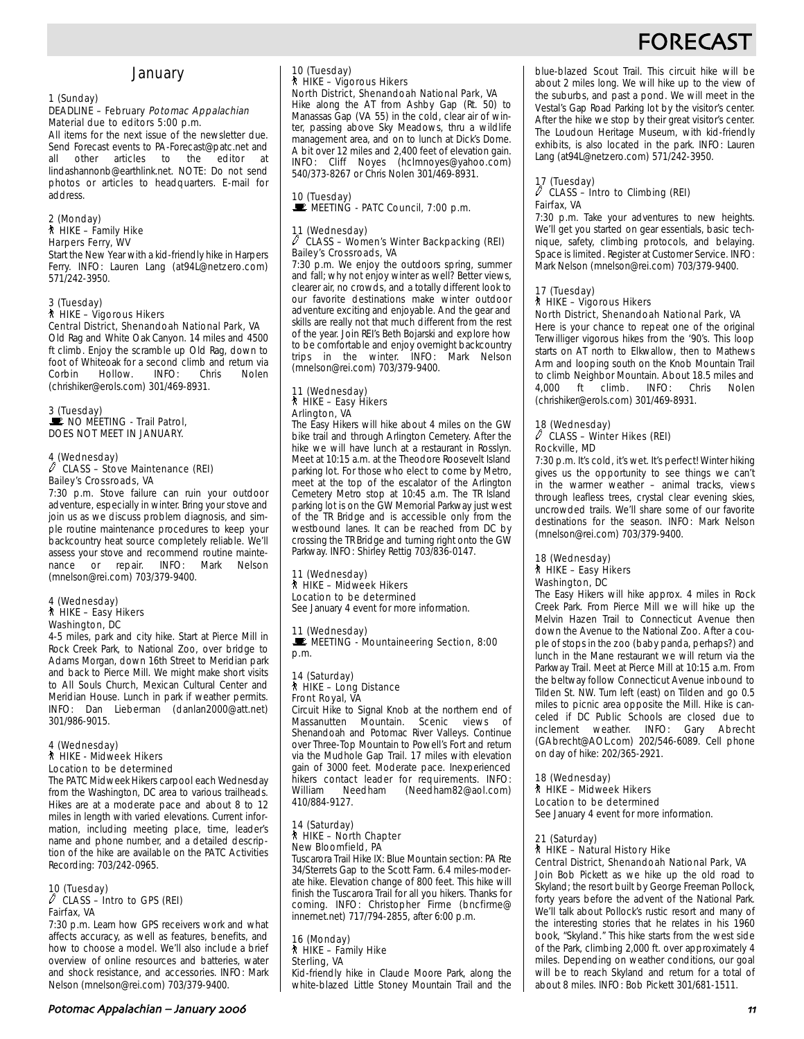## **FORECAS**

### **January**

#### 1 (Sunday) DEADLINE – February Potomac Appalachian Material due to editors 5:00 p.m.

All items for the next issue of the newsletter due. Send Forecast events to PA-Forecast@patc.net and<br>all other articles to the editor at all other articles to the editor at lindashannonb@earthlink.net. NOTE: Do not send photos or articles to headquarters. E-mail for .<br>address.

#### 2 (Monday) ` HIKE – Family Hike Harpers Ferry, WV

Start the New Year with a kid-friendly hike in Harpers Ferry. INFO: Lauren Lang (at94L@netzero.com) 571/242-3950.

### 3 (Tuesday) ` HIKE – Vigorous Hikers Central District, Shenandoah National Park, VA

Old Rag and White Oak Canyon. 14 miles and 4500 ft climb. Enjoy the scramble up Old Rag, down to foot of Whiteoak for a second climb and return via Hollow. (chrishiker@erols.com) 301/469-8931.

#### 3 (Tuesday) NO MEETING - Trail Patrol, DOES NOT MEET IN JANUARY.

## 4 (Wednesday) a CLASS – Stove Maintenance (REI)

Bailey's Crossroads, VA

7:30 p.m. Stove failure can ruin your outdoor adventure, especially in winter. Bring your stove and join us as we discuss problem diagnosis, and simple routine maintenance procedures to keep your backcountry heat source completely reliable. We'll assess your stove and recommend routine mainte-<br>nance or repair. INFO: Mark Nelson INFO: Mark Nelson (mnelson@rei.com) 703/379-9400.

#### 4 (Wednesday) ` HIKE – Easy Hikers Washington, DC

4-5 miles, park and city hike. Start at Pierce Mill in Rock Creek Park, to National Zoo, over bridge to Adams Morgan, down 16th Street to Meridian park and back to Pierce Mill. We might make short visits to All Souls Church, Mexican Cultural Center and Meridian House. Lunch in park if weather permits. INFO: Dan Lieberman (danlan2000@att.net) 301/986-9015.

#### 4 (Wednesday) ` HIKE - Midweek Hikers Location to be determined

The PATC Midweek Hikers carpool each Wednesday from the Washington, DC area to various trailheads. Hikes are at a moderate pace and about 8 to 12 miles in length with varied elevations. Current information, including meeting place, time, leader's name and phone number, and a detailed description of the hike are available on the PATC Activities Recording: 703/242-0965.

#### 10 (Tuesday)  $\ell$  CLASS – Intro to GPS (REI) Fairfax, VA

7:30 p.m. Learn how GPS receivers work and what affects accuracy, as well as features, benefits, and how to choose a model. We'll also include a brief overview of online resources and batteries, water and shock resistance, and accessories. INFO: Mark Nelson (mnelson@rei.com) 703/379-9400.

### 10 (Tuesday) ` HIKE – Vigorous Hikers North District, Shenandoah National Park, VA

Hike along the AT from Ashby Gap (Rt. 50) to Manassas Gap (VA 55) in the cold, clear air of winter, passing above Sky Meadows, thru a wildlife management area, and on to lunch at Dick's Dome. A bit over 12 miles and 2,400 feet of elevation gain. INFO: Cliff Noyes (hclmnoyes@yahoo.com) 540/373-8267 or Chris Nolen 301/469-8931.

## 10 (Tuesday)<br>E MEETING - PATC Council, 7:00 p.m.

#### (Wednesday) a CLASS – Women's Winter Backpacking (REI) Bailey's Crossroads, VA

7:30 p.m. We enjoy the outdoors spring, summer and fall; why not enjoy winter as well? Better views, clearer air, no crowds, and a totally different look to our favorite destinations make winter outdoor adventure exciting and enjoyable. And the gear and skills are really not that much different from the rest of the year. Join REI's Beth Bojarski and explore how to be comfortable and enjoy overnight backcountry<br>trips in the winter. INFO: Mark Nelson trips in the winter. INFO: (mnelson@rei.com) 703/379-9400.

#### 11 (Wednesday) ` HIKE – Easy Hikers Arlington, VA

The Easy Hikers will hike about 4 miles on the GW bike trail and through Arlington Cemetery. After the hike we will have lunch at a restaurant in Rosslyn. Meet at 10:15 a.m. at the Theodore Roosevelt Island parking lot. For those who elect to come by Metro, meet at the top of the escalator of the Arlington Cemetery Metro stop at 10:45 a.m. The TR Island parking lot is on the GW Memorial Parkway just west of the TR Bridge and is accessible only from the westbound lanes. It can be reached from DC by crossing the TR Bridge and turning right onto the GW Parkway. INFO: Shirley Rettig 703/836-0147.

#### 11 (Wednesday) ` HIKE – Midweek Hikers Location to be determined

See January 4 event for more information.

11 (Wednesday)<br>■ MEETING - Mountaineering Section, 8:00 p.m.

#### 14 (Saturday) ` HIKE – Long Distance Front Royal, VA

Circuit Hike to Signal Knob at the northern end of Massanutten Mountain. Scenic views of Shenandoah and Potomac River Valleys. Continue over Three-Top Mountain to Powell's Fort and return via the Mudhole Gap Trail. 17 miles with elevation gain of 3000 feet. Moderate pace. Inexperienced hikers contact leader for requirements. INFO: (Needham82@aol.com) 410/884-9127.

#### 14 (Saturday) ` HIKE – North Chapter New Bloomfield, PA

Tuscarora Trail Hike IX: Blue Mountain section: PA Rte 34/Sterrets Gap to the Scott Farm. 6.4 miles-moderate hike. Elevation change of 800 feet. This hike will finish the Tuscarora Trail for all you hikers. Thanks for coming. INFO: Christopher Firme (bncfirme@ innernet.net) 717/794-2855, after 6:00 p.m.

16 (Monday) ` HIKE – Family Hike Sterling, VA Kid-friendly hike in Claude Moore Park, along the white-blazed Little Stoney Mountain Trail and the

blue-blazed Scout Trail. This circuit hike will be about 2 miles long. We will hike up to the view of the suburbs, and past a pond. We will meet in the Vestal's Gap Road Parking lot by the visitor's center. After the hike we stop by their great visitor's center. The Loudoun Heritage Museum, with kid-friendly exhibits, is also located in the park. INFO: Lauren Lang (at94L@netzero.com) 571/242-3950.

#### 17 (Tuesday)  $\ell$  CLASS – Intro to Climbing (REI) Fairfax, VA

7:30 p.m. Take your adventures to new heights. We'll get you started on gear essentials, basic technique, safety, climbing protocols, and belaying. Space is limited. Register at Customer Service. INFO: Mark Nelson (mnelson@rei.com) 703/379-9400.

#### 17 (Tuesday) ` HIKE – Vigorous Hikers

### North District, Shenandoah National Park, VA

Here is your chance to repeat one of the original Terwilliger vigorous hikes from the '90's. This loop starts on AT north to Elkwallow, then to Mathews Arm and looping south on the Knob Mountain Trail to climb Neighbor Mountain. About 18.5 miles and<br>4.000 ft climb. INFO: Chris Nolen 4,000 ft climb. INFO: Chris Nolen (chrishiker@erols.com) 301/469-8931.

#### 18 (Wednesday)

#### $\ell$  CLASS – Winter Hikes (REI) Rockville, MD

7:30 p.m. It's cold, it's wet. It's perfect! Winter hiking gives us the opportunity to see things we can't in the warmer weather – animal tracks, views through leafless trees, crystal clear evening skies, uncrowded trails. We'll share some of our favorite destinations for the season. INFO: Mark Nelson (mnelson@rei.com) 703/379-9400.

#### 18 (Wednesday) ` HIKE – Easy Hikers Washington, DC

The Easy Hikers will hike approx. 4 miles in Rock Creek Park. From Pierce Mill we will hike up the Melvin Hazen Trail to Connecticut Avenue then down the Avenue to the National Zoo. After a couple of stops in the zoo (baby panda, perhaps?) and lunch in the Mane restaurant we will return via the Parkway Trail. Meet at Pierce Mill at 10:15 a.m. From the beltway follow Connecticut Avenue inbound to Tilden St. NW. Turn left (east) on Tilden and go 0.5 miles to picnic area opposite the Mill. Hike is canceled if DC Public Schools are closed due to inclement weather. INFO: Gary Abrecht (GAbrecht@AOL.com) 202/546-6089. Cell phone on day of hike: 202/365-2921.

#### 18 (Wednesday)

` HIKE – Midweek Hikers

Location to be determined See January 4 event for more information.

#### 21 (Saturday) ` HIKE – Natural History Hike

Central District, Shenandoah National Park, VA Join Bob Pickett as we hike up the old road to Skyland; the resort built by George Freeman Pollock, forty years before the advent of the National Park. We'll talk about Pollock's rustic resort and many of the interesting stories that he relates in his 1960 book, "Skyland." This hike starts from the west side of the Park, climbing 2,000 ft. over approximately 4 miles. Depending on weather conditions, our goal will be to reach Skyland and return for a total of about 8 miles. INFO: Bob Pickett 301/681-1511.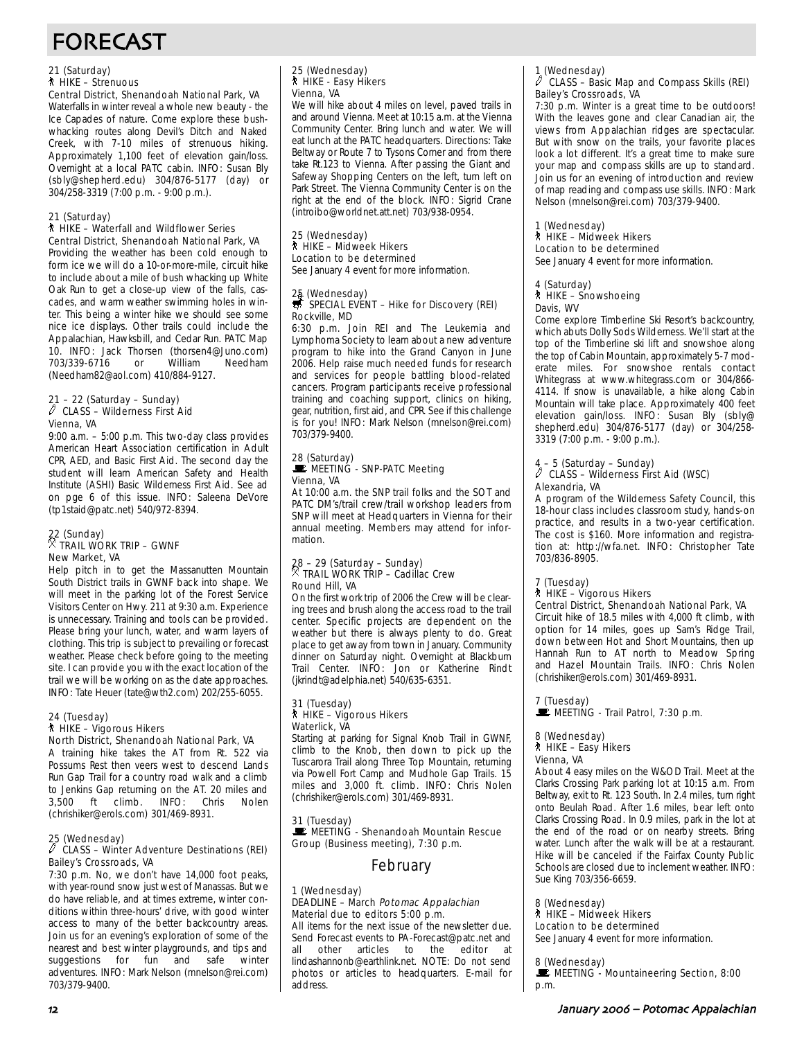# FORECAST

#### 21 (Saturday) ` HIKE – Strenuous

Central District, Shenandoah National Park, VA Waterfalls in winter reveal a whole new beauty - the Ice Capades of nature. Come explore these bushwhacking routes along Devil's Ditch and Naked Creek, with 7-10 miles of strenuous hiking. Approximately 1,100 feet of elevation gain/loss. Overnight at a local PATC cabin. INFO: Susan Bly (sbly@shepherd.edu) 304/876-5177 (day) or

#### 21 (Saturday)

#### ` HIKE – Waterfall and Wildflower Series Central District, Shenandoah National Park, VA

304/258-3319 (7:00 p.m. - 9:00 p.m.).

Providing the weather has been cold enough to form ice we will do a 10-or-more-mile, circuit hike to include about a mile of bush whacking up White Oak Run to get a close-up view of the falls, cascades, and warm weather swimming holes in winter. This being a winter hike we should see some nice ice displays. Other trails could include the Appalachian, Hawksbill, and Cedar Run. PATC Map 10. INFO: Jack Thorsen (thorsen4@Juno.com) 703/339-6716 or William Needham (Needham82@aol.com) 410/884-9127.

#### 21 – 22 (Saturday – Sunday)  $\mathbb O$  CLASS – Wilderness First Aid Vienna, VA

9:00 a.m. – 5:00 p.m. This two-day class provides American Heart Association certification in Adult CPR, AED, and Basic First Aid. The second day the student will learn American Safety and Health Institute (ASHI) Basic Wilderness First Aid. See ad on pge 6 of this issue. INFO: Saleena DeVore (tp1staid@patc.net) 540/972-8394.

#### 22 (Sunday)  $\%$  trail work trip – gwnf New Market, VA

Help pitch in to get the Massanutten Mountain South District trails in GWNF back into shape. We will meet in the parking lot of the Forest Service Visitors Center on Hwy. 211 at 9:30 a.m. Experience is unnecessary. Training and tools can be provided. Please bring your lunch, water, and warm layers of clothing. This trip is subject to prevailing or forecast weather. Please check before going to the meeting site. I can provide you with the exact location of the trail we will be working on as the date approaches. INFO: Tate Heuer (tate@wth2.com) 202/255-6055.

#### 24 (Tuesday) ` HIKE – Vigorous Hikers

North District, Shenandoah National Park, VA

A training hike takes the AT from Rt. 522 via Possums Rest then veers west to descend Lands Run Gap Trail for a country road walk and a climb to Jenkins Gap returning on the AT. 20 miles and<br>3,500 ft climb. INFO: Chris Nolen  $3,500$  ft climb. (chrishiker@erols.com) 301/469-8931.

#### 25 (Wednesday)

#### $\ell$  CLASS – Winter Adventure Destinations (REI) Bailey's Crossroads, VA

7:30 p.m. No, we don't have 14,000 foot peaks, with year-round snow just west of Manassas. But we do have reliable, and at times extreme, winter conditions within three-hours' drive, with good winter access to many of the better backcountry areas. Join us for an evening's exploration of some of the nearest and best winter playgrounds, and tips and suggestions for fun and safe winter adventures. INFO: Mark Nelson (mnelson@rei.com) 703/379-9400.

## 25 (Wednesday) ` HIKE - Easy Hikers Vienna, VA

We will hike about 4 miles on level, paved trails in and around Vienna. Meet at 10:15 a.m. at the Vienna Community Center. Bring lunch and water. We will eat lunch at the PATC headquarters. Directions: Take Beltway or Route 7 to Tysons Corner and from there take Rt.123 to Vienna. After passing the Giant and Safeway Shopping Centers on the left, turn left on Park Street. The Vienna Community Center is on the right at the end of the block. INFO: Sigrid Crane (introibo@worldnet.att.net) 703/938-0954.

#### 25 (Wednesday) ` HIKE – Midweek Hikers Location to be determined

See January 4 event for more information.

### 25 (Wednesday)<br>第 SPECIAL EVENT – Hike for Discovery (REI) Rockville, MD

6:30 p.m. Join REI and The Leukemia and Lymphoma Society to learn about a new adventure program to hike into the Grand Canyon in June 2006. Help raise much needed funds for research and services for people battling blood-related cancers. Program participants receive professional training and coaching support, clinics on hiking, gear, nutrition, first aid, and CPR. See if this challenge is for you! INFO: Mark Nelson (mnelson@rei.com) 703/379-9400.

#### 28 (Saturday) MEETING - SNP-PATC Meeting Vienna, VA

At 10:00 a.m. the SNP trail folks and the SOT and PATC DM's/trail crew/trail workshop leaders from SNP will meet at Headquarters in Vienna for their annual meeting. Members may attend for information.

## 28 – 29 (Saturday – Sunday) . TRAIL WORK TRIP – Cadillac Crew Round Hill, VA

On the first work trip of 2006 the Crew will be clearing trees and brush along the access road to the trail center. Specific projects are dependent on the weather but there is always plenty to do. Great place to get away from town in January. Community dinner on Saturday night. Overnight at Blackburn Trail Center. INFO: Jon or Katherine Rindt (jkrindt@adelphia.net) 540/635-6351.

#### 31 (Tuesday) ` HIKE – Vigorous Hikers Waterlick, VA

Starting at parking for Signal Knob Trail in GWNF, climb to the Knob, then down to pick up the Tuscarora Trail along Three Top Mountain, returning via Powell Fort Camp and Mudhole Gap Trails. 15 miles and 3,000 ft. climb. INFO: Chris Nolen (chrishiker@erols.com) 301/469-8931.

31 (Tuesday) MEETING - Shenandoah Mountain Rescue Group (Business meeting), 7:30 p.m.

### February

#### 1 (Wednesday) DEADLINE - March Potomac Appalachian Material due to editors 5:00 p.m.

All items for the next issue of the newsletter due. Send Forecast events to PA-Forecast@patc.net and all other articles to the editor at lindashannonb@earthlink.net. NOTE: Do not send photos or articles to headquarters. E-mail for address.

#### 1 (Wednesday) CLASS – Basic Map and Compass Skills (REI)

Bailey's Crossroads, VA 7:30 p.m. Winter is a great time to be outdoors! With the leaves gone and clear Canadian air, the views from Appalachian ridges are spectacular. But with snow on the trails, your favorite places look a lot different. It's a great time to make sure your map and compass skills are up to standard. Join us for an evening of introduction and review of map reading and compass use skills. INFO: Mark Nelson (mnelson@rei.com) 703/379-9400.

#### 1 (Wednesday) ` HIKE – Midweek Hikers Location to be determined

See January 4 event for more information.

## 4 (Saturday)

### ` HIKE – Snowshoeing

Davis, WV Come explore Timberline Ski Resort's backcountry, which abuts Dolly Sods Wilderness. We'll start at the top of the Timberline ski lift and snowshoe along the top of Cabin Mountain, approximately 5-7 moderate miles. For snowshoe rentals contact Whitegrass at www.whitegrass.com or 304/866- 4114. If snow is unavailable, a hike along Cabin Mountain will take place. Approximately 400 feet elevation gain/loss. INFO: Susan Bly (sbly@ shepherd.edu) 304/876-5177 (day) or 304/258- 3319 (7:00 p.m. - 9:00 p.m.).

## 4 – 5 (Saturday – Sunday) a CLASS – Wilderness First Aid (WSC) Alexandria, VA

A program of the Wilderness Safety Council, this 18-hour class includes classroom study, hands-on practice, and results in a two-year certification. The cost is \$160. More information and registration at: http://wfa.net. INFO: Christopher Tate 703/836-8905.

## 7 (Tuesday) ` HIKE – Vigorous Hikers

Central District, Shenandoah National Park, VA Circuit hike of 18.5 miles with 4,000 ft climb, with option for 14 miles, goes up Sam's Ridge Trail, down between Hot and Short Mountains, then up Hannah Run to AT north to Meadow Spring and Hazel Mountain Trails. INFO: Chris Nolen (chrishiker@erols.com) 301/469-8931.

## 7 (Tuesday)<br>■ MEETING - Trail Patrol, 7:30 p.m.

## 8 (Wednesday)

#### ` HIKE – Easy Hikers Vienna, VA

About 4 easy miles on the W&OD Trail. Meet at the Clarks Crossing Park parking lot at 10:15 a.m. From Beltway, exit to Rt. 123 South. In 2.4 miles, turn right onto Beulah Road. After 1.6 miles, bear left onto Clarks Crossing Road. In 0.9 miles, park in the lot at the end of the road or on nearby streets. Bring water. Lunch after the walk will be at a restaurant. Hike will be canceled if the Fairfax County Public Schools are closed due to inclement weather. INFO: Sue King 703/356-6659.

### 8 (Wednesday)

### ` HIKE – Midweek Hikers

Location to be determined See January 4 event for more information.

#### 8 (Wednesday)

MEETING - Mountaineering Section, 8:00 p.m.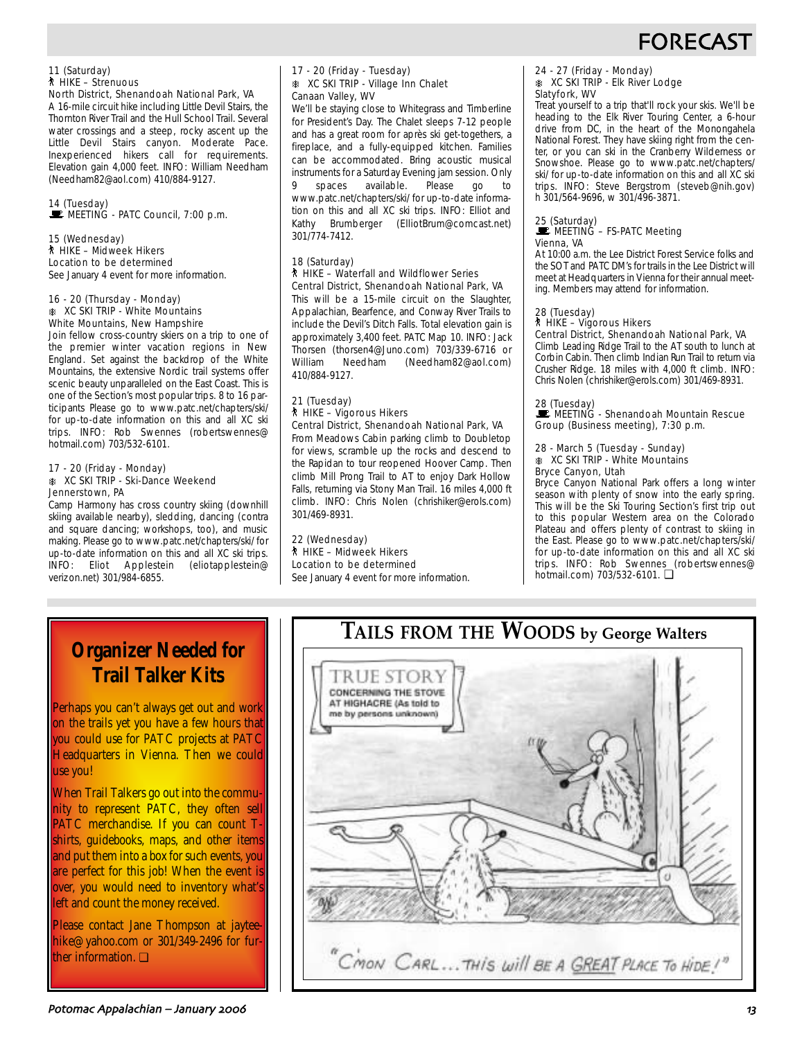

#### 11 (Saturday) ` HIKE – Strenuous North District, Shenandoah National Park, VA

A 16-mile circuit hike including Little Devil Stairs, the Thornton River Trail and the Hull School Trail. Several water crossings and a steep, rocky ascent up the Little Devil Stairs canyon. Moderate Pace. Inexperienced hikers call for requirements. Elevation gain 4,000 feet. INFO: William Needham (Needham82@aol.com) 410/884-9127.

## 14 (Tuesday)<br>■ MEETING - PATC Council, 7:00 p.m.

#### 15 (Wednesday) ` HIKE – Midweek Hikers Location to be determined See January 4 event for more information.

#### 16 - 20 (Thursday - Monday) **K XC SKI TRIP - White Mountains** White Mountains, New Hampshire

Join fellow cross-country skiers on a trip to one of the premier winter vacation regions in New England. Set against the backdrop of the White Mountains, the extensive Nordic trail systems offer scenic beauty unparalleled on the East Coast. This is one of the Section's most popular trips. 8 to 16 participants Please go to www.patc.net/chapters/ski/ for up-to-date information on this and all XC ski trips. INFO: Rob Swennes (robertswennes@ hotmail.com) 703/532-6101.

#### 17 - 20 (Friday - Monday) **K XC SKI TRIP - Ski-Dance Weekend** Jennerstown, PA

Camp Harmony has cross country skiing (downhill skiing available nearby), sledding, dancing (contra and square dancing; workshops, too), and music making. Please go to www.patc.net/chapters/ski/ for up-to-date information on this and all XC ski trips. INFO: Eliot Applestein (eliotapplestein@ verizon.net) 301/984-6855.

#### 17 - 20 (Friday - Tuesday) **K XC SKI TRIP - Village Inn Chalet** Canaan Valley, WV

We'll be staying close to Whitegrass and Timberline for President's Day. The Chalet sleeps 7-12 people and has a great room for après ski get-togethers, a fireplace, and a fully-equipped kitchen. Families can be accommodated. Bring acoustic musical instruments for a Saturday Evening jam session. Only spaces available. Please go to www.patc.net/chapters/ski/ for up-to-date information on this and all XC ski trips. INFO: Elliot and Kathy Brumberger (ElliotBrum@comcast.net) 301/774-7412.

#### 18 (Saturday) ` HIKE – Waterfall and Wildflower Series Central District, Shenandoah National Park, VA

This will be a 15-mile circuit on the Slaughter, Appalachian, Bearfence, and Conway River Trails to include the Devil's Ditch Falls. Total elevation gain is approximately 3,400 feet. PATC Map 10. INFO: Jack Thorsen (thorsen4@Juno.com) 703/339-6716 or William Needham (Needham82@aol.com) 410/884-9127.

### 21 (Tuesday) ` HIKE – Vigorous Hikers

Central District, Shenandoah National Park, VA From Meadows Cabin parking climb to Doubletop for views, scramble up the rocks and descend to the Rapidan to tour reopened Hoover Camp. Then climb Mill Prong Trail to AT to enjoy Dark Hollow Falls, returning via Stony Man Trail. 16 miles 4,000 ft climb. INFO: Chris Nolen (chrishiker@erols.com) 301/469-8931.

#### 22 (Wednesday) ` HIKE – Midweek Hikers Location to be determined

See January 4 event for more information.

#### 24 - 27 (Friday - Monday) A XC SKI TRIP - Elk River Lodge Slatyfork, WV

Treat yourself to a trip that'll rock your skis. We'll be heading to the Elk River Touring Center, a 6-hour drive from DC, in the heart of the Monongahela National Forest. They have skiing right from the center, or you can ski in the Cranberry Wilderness or Snowshoe. Please go to www.patc.net/chapters/ ski/ for up-to-date information on this and all XC ski trips. INFO: Steve Bergstrom (steveb@nih.gov) h 301/564-9696, w 301/496-3871.

#### 25 (Saturday) **WEETING – FS-PATC Meeting** Vienna, VA

At 10:00 a.m. the Lee District Forest Service folks and the SOT and PATC DM's for trails in the Lee District will meet at Headquarters in Vienna for their annual meeting. Members may attend for information.

## 28 (Tuesday) ` HIKE – Vigorous Hikers

Central District, Shenandoah National Park, VA Climb Leading Ridge Trail to the AT south to lunch at Corbin Cabin. Then climb Indian Run Trail to return via Crusher Ridge. 18 miles with 4,000 ft climb. INFO: Chris Nolen (chrishiker@erols.com) 301/469-8931.

28 (Tuesday)<br>■ MEETING - Shenandoah Mountain Rescue Group (Business meeting), 7:30 p.m.

#### 28 - March 5 (Tuesday - Sunday) A XC SKI TRIP - White Mountains Bryce Canyon, Utah

Bryce Canyon National Park offers a long winter season with plenty of snow into the early spring. This will be the Ski Touring Section's first trip out to this popular Western area on the Colorado Plateau and offers plenty of contrast to skiing in the East. Please go to www.patc.net/chapters/ski/ for up-to-date information on this and all XC ski trips. INFO: Rob Swennes (robertswennes@ hotmail.com) 703/532-6101. ❏

## **Organizer Needed for Trail Talker Kits**

Perhaps you can't always get out and work on the trails yet you have a few hours that you could use for PATC projects at PATC Headquarters in Vienna. Then we could use you!

When Trail Talkers go out into the community to represent PATC, they often sell PATC merchandise. If you can count Tshirts, guidebooks, maps, and other items and put them into a box for such events, you are perfect for this job! When the event is over, you would need to inventory what's left and count the money received.

Please contact Jane Thompson at jayteehike@yahoo.com or 301/349-2496 for further information. ❏

# **TAILS FROM THE WOODS by George Walters** TRUE STORY

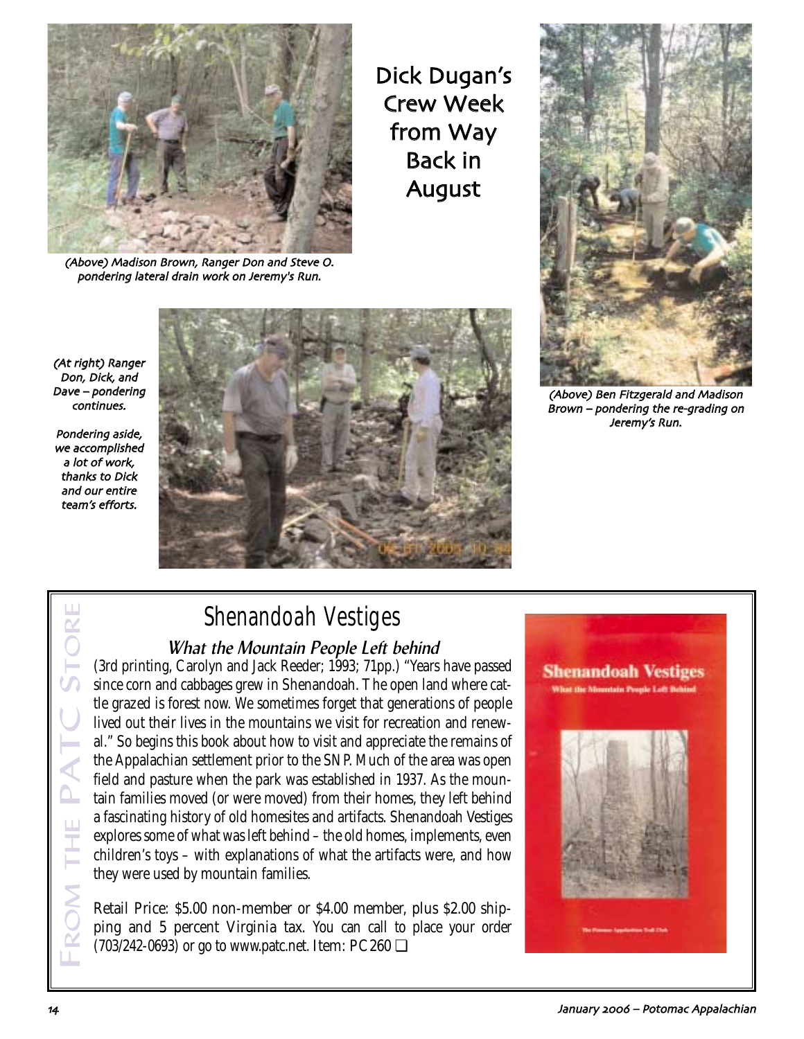

(Above) Madison Brown, Ranger Don and Steve O. pondering lateral drain work on Jeremy's Run

Dick Dugan's Crew Week from Way Back in August



(Above) Ben Fitzgerald and Madison Brown – pondering the re-grading on Jeremy's Run

(At right) Ranger Don, Dick, and Dave – pondering continues

Pondering aside we accomplished a lot of work thanks to Dick and our entire team's efforts



# Shenandoah Vestiges

## What the Mountain People Left behind

(3rd printing, Carolyn and Jack Reeder; 1993; 71pp.) "Years have passed since corn and cabbages grew in Shenandoah. The open land where cattle grazed is forest now. We sometimes forget that generations of people lived out their lives in the mountains we visit for recreation and renewal." So begins this book about how to visit and appreciate the remains of the Appalachian settlement prior to the SNP. Much of the area was open field and pasture when the park was established in 1937. As the mountain families moved (or were moved) from their homes, they left behind a fascinating history of old homesites and artifacts. Shenandoah Vestiges explores some of what was left behind – the old homes, implements, even children's toys – with explanations of what the artifacts were, and how they were used by mountain families.

Retail Price: \$5.00 non-member or \$4.00 member, plus \$2.00 shipping and 5 percent Virginia tax. You can call to place your order (703/242-0693) or go to www.patc.net. Item: PC260 ❏



FROM THE PATC STORE

HE<br>F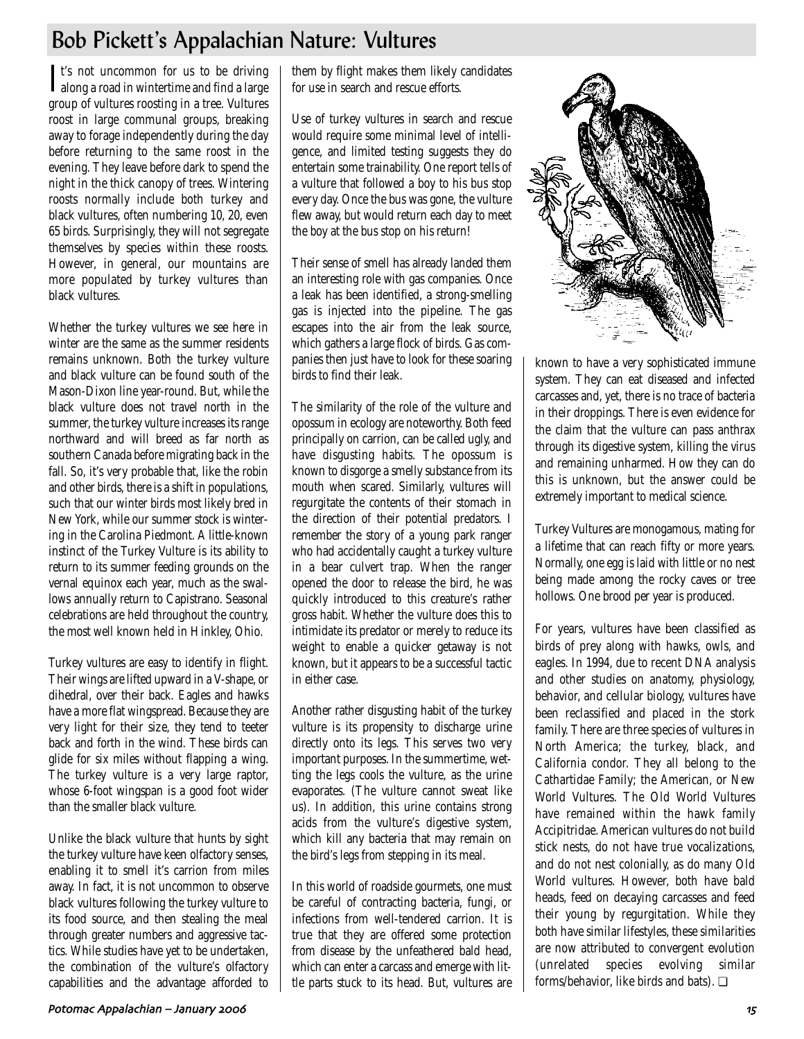## Bob Pickett's Appalachian Nature: Vultures

It's not uncommon for us to be driving<br>along a road in wintertime and find a large along a road in wintertime and find a large group of vultures roosting in a tree. Vultures roost in large communal groups, breaking away to forage independently during the day before returning to the same roost in the evening. They leave before dark to spend the night in the thick canopy of trees. Wintering roosts normally include both turkey and black vultures, often numbering 10, 20, even 65 birds. Surprisingly, they will not segregate themselves by species within these roosts. However, in general, our mountains are more populated by turkey vultures than black vultures.

Whether the turkey vultures we see here in winter are the same as the summer residents remains unknown. Both the turkey vulture and black vulture can be found south of the Mason-Dixon line year-round. But, while the black vulture does not travel north in the summer, the turkey vulture increases its range northward and will breed as far north as southern Canada before migrating back in the fall. So, it's very probable that, like the robin and other birds, there is a shift in populations, such that our winter birds most likely bred in New York, while our summer stock is wintering in the Carolina Piedmont. A little-known instinct of the Turkey Vulture is its ability to return to its summer feeding grounds on the vernal equinox each year, much as the swallows annually return to Capistrano. Seasonal celebrations are held throughout the country, the most well known held in Hinkley, Ohio.

Turkey vultures are easy to identify in flight. Their wings are lifted upward in a V-shape, or dihedral, over their back. Eagles and hawks have a more flat wingspread. Because they are very light for their size, they tend to teeter back and forth in the wind. These birds can glide for six miles without flapping a wing. The turkey vulture is a very large raptor, whose 6-foot wingspan is a good foot wider than the smaller black vulture.

Unlike the black vulture that hunts by sight the turkey vulture have keen olfactory senses, enabling it to smell it's carrion from miles away. In fact, it is not uncommon to observe black vultures following the turkey vulture to its food source, and then stealing the meal through greater numbers and aggressive tactics. While studies have yet to be undertaken, the combination of the vulture's olfactory capabilities and the advantage afforded to them by flight makes them likely candidates for use in search and rescue efforts.

Use of turkey vultures in search and rescue would require some minimal level of intelligence, and limited testing suggests they do entertain some trainability. One report tells of a vulture that followed a boy to his bus stop every day. Once the bus was gone, the vulture flew away, but would return each day to meet the boy at the bus stop on his return!

Their sense of smell has already landed them an interesting role with gas companies. Once a leak has been identified, a strong-smelling gas is injected into the pipeline. The gas escapes into the air from the leak source, which gathers a large flock of birds. Gas companies then just have to look for these soaring birds to find their leak.

The similarity of the role of the vulture and opossum in ecology are noteworthy. Both feed principally on carrion, can be called ugly, and have disgusting habits. The opossum is known to disgorge a smelly substance from its mouth when scared. Similarly, vultures will regurgitate the contents of their stomach in the direction of their potential predators. I remember the story of a young park ranger who had accidentally caught a turkey vulture in a bear culvert trap. When the ranger opened the door to release the bird, he was quickly introduced to this creature's rather gross habit. Whether the vulture does this to intimidate its predator or merely to reduce its weight to enable a quicker getaway is not known, but it appears to be a successful tactic in either case.

Another rather disgusting habit of the turkey vulture is its propensity to discharge urine directly onto its legs. This serves two very important purposes. In the summertime, wetting the legs cools the vulture, as the urine evaporates. (The vulture cannot sweat like us). In addition, this urine contains strong acids from the vulture's digestive system, which kill any bacteria that may remain on the bird's legs from stepping in its meal.

In this world of roadside gourmets, one must be careful of contracting bacteria, fungi, or infections from well-tendered carrion. It is true that they are offered some protection from disease by the unfeathered bald head, which can enter a carcass and emerge with little parts stuck to its head. But, vultures are



known to have a very sophisticated immune system. They can eat diseased and infected carcasses and, yet, there is no trace of bacteria in their droppings. There is even evidence for the claim that the vulture can pass anthrax through its digestive system, killing the virus and remaining unharmed. How they can do this is unknown, but the answer could be extremely important to medical science.

Turkey Vultures are monogamous, mating for a lifetime that can reach fifty or more years. Normally, one egg is laid with little or no nest being made among the rocky caves or tree hollows. One brood per year is produced.

For years, vultures have been classified as birds of prey along with hawks, owls, and eagles. In 1994, due to recent DNA analysis and other studies on anatomy, physiology, behavior, and cellular biology, vultures have been reclassified and placed in the stork family. There are three species of vultures in North America; the turkey, black, and California condor. They all belong to the Cathartidae Family; the American, or New World Vultures. The Old World Vultures have remained within the hawk family Accipitridae. American vultures do not build stick nests, do not have true vocalizations, and do not nest colonially, as do many Old World vultures. However, both have bald heads, feed on decaying carcasses and feed their young by regurgitation. While they both have similar lifestyles, these similarities are now attributed to convergent evolution (unrelated species evolving similar forms/behavior, like birds and bats). ❏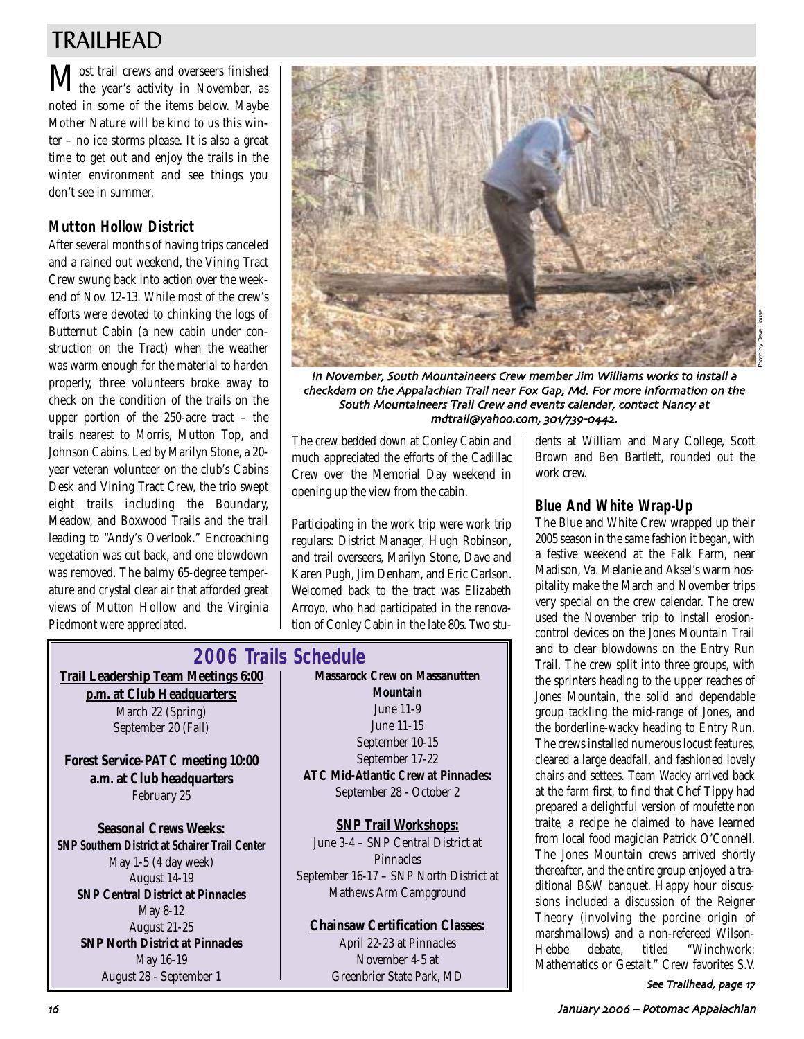## TRAILHEAD

 $\mathbf M$ ost trail crews and overseers finished<br>the year's activity in November, as noted in some of the items below. Maybe Mother Nature will be kind to us this winter – no ice storms please. It is also a great time to get out and enjoy the trails in the winter environment and see things you don't see in summer.

## **Mutton Hollow District**

After several months of having trips canceled and a rained out weekend, the Vining Tract Crew swung back into action over the weekend of Nov. 12-13. While most of the crew's efforts were devoted to chinking the logs of Butternut Cabin (a new cabin under construction on the Tract) when the weather was warm enough for the material to harden properly, three volunteers broke away to check on the condition of the trails on the upper portion of the 250-acre tract – the trails nearest to Morris, Mutton Top, and Johnson Cabins. Led by Marilyn Stone, a 20 year veteran volunteer on the club's Cabins Desk and Vining Tract Crew, the trio swept eight trails including the Boundary, Meadow, and Boxwood Trails and the trail leading to "Andy's Overlook." Encroaching vegetation was cut back, and one blowdown was removed. The balmy 65-degree temperature and crystal clear air that afforded great views of Mutton Hollow and the Virginia Piedmont were appreciated.



In November, South Mountaineers Crew member Jim Williams works to install a checkdam on the Appalachian Trail near Fox Gap, Md. For more information on the South Mountaineers Trail Crew and events calendar, contact Nancy at mdtrail@yahoo.com, 301/739-0442.

The crew bedded down at Conley Cabin and much appreciated the efforts of the Cadillac Crew over the Memorial Day weekend in opening up the view from the cabin.

Participating in the work trip were work trip regulars: District Manager, Hugh Robinson, and trail overseers, Marilyn Stone, Dave and Karen Pugh, Jim Denham, and Eric Carlson. Welcomed back to the tract was Elizabeth Arroyo, who had participated in the renovation of Conley Cabin in the late 80s. Two stu-

## **2006 Trails Schedule**

**Trail Leadership Team Meetings 6:00 p.m. at Club Headquarters:** March 22 (Spring) September 20 (Fall)

**Forest Service-PATC meeting 10:00 a.m. at Club headquarters** February 25

**Seasonal Crews Weeks: SNP Southern District at Schairer Trail Center** May 1-5 (4 day week) August 14-19 **SNP Central District at Pinnacles** May 8-12 August 21-25 **SNP North District at Pinnacles** May 16-19 August 28 - September 1

**Massarock Crew on Massanutten Mountain** June 11-9 June 11-15 September 10-15 September 17-22 **ATC Mid-Atlantic Crew at Pinnacles:** September 28 - October 2

**SNP Trail Workshops:** June 3-4 – SNP Central District at **Pinnacles** September 16-17 – SNP North District at Mathews Arm Campground

### **Chainsaw Certification Classes:**

April 22-23 at Pinnacles November 4-5 at Greenbrier State Park, MD dents at William and Mary College, Scott Brown and Ben Bartlett, rounded out the work crew.

### **Blue And White Wrap-Up**

The Blue and White Crew wrapped up their 2005 season in the same fashion it began, with a festive weekend at the Falk Farm, near Madison, Va. Melanie and Aksel's warm hospitality make the March and November trips very special on the crew calendar. The crew used the November trip to install erosioncontrol devices on the Jones Mountain Trail and to clear blowdowns on the Entry Run Trail. The crew split into three groups, with the sprinters heading to the upper reaches of Jones Mountain, the solid and dependable group tackling the mid-range of Jones, and the borderline-wacky heading to Entry Run. The crews installed numerous locust features, cleared a large deadfall, and fashioned lovely chairs and settees. Team Wacky arrived back at the farm first, to find that Chef Tippy had prepared a delightful version of *moufette non traite*, a recipe he claimed to have learned from local food magician Patrick O'Connell. The Jones Mountain crews arrived shortly thereafter, and the entire group enjoyed a traditional B&W banquet. Happy hour discussions included a discussion of the Reigner Theory (involving the porcine origin of marshmallows) and a non-refereed Wilson-Hebbe debate, titled "Winchwork: Mathematics or Gestalt." Crew favorites S.V.

See Trailhead, page 17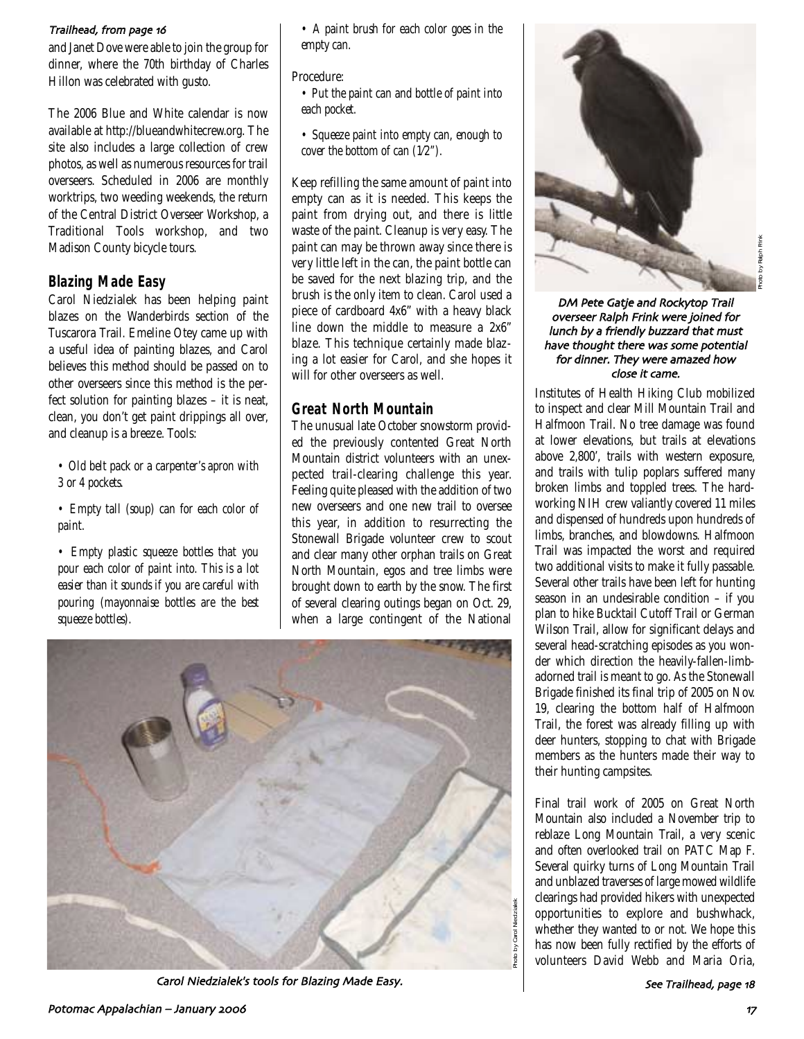#### Trailhead, from page 16

and Janet Dove were able to join the group for dinner, where the 70th birthday of Charles Hillon was celebrated with gusto.

The 2006 Blue and White calendar is now available at http://blueandwhitecrew.org. The site also includes a large collection of crew photos, as well as numerous resources for trail overseers. Scheduled in 2006 are monthly worktrips, two weeding weekends, the return of the Central District Overseer Workshop, a Traditional Tools workshop, and two Madison County bicycle tours.

### **Blazing Made Easy**

Carol Niedzialek has been helping paint blazes on the Wanderbirds section of the Tuscarora Trail. Emeline Otey came up with a useful idea of painting blazes, and Carol believes this method should be passed on to other overseers since this method is the perfect solution for painting blazes – it is neat, clean, you don't get paint drippings all over, and cleanup is a breeze. Tools:

*• Old belt pack or a carpenter's apron with 3 or 4 pockets.*

*• Empty tall (soup) can for each color of paint.*

*• Empty plastic squeeze bottles that you pour each color of paint into. This is a lot easier than it sounds if you are careful with pouring (mayonnaise bottles are the best squeeze bottles).*

*• A paint brush for each color goes in the empty can.*

#### Procedure:

*• Put the paint can and bottle of paint into each pocket.*

*• Squeeze paint into empty can, enough to cover the bottom of can (1⁄2").* 

Keep refilling the same amount of paint into empty can as it is needed. This keeps the paint from drying out, and there is little waste of the paint. Cleanup is very easy. The paint can may be thrown away since there is very little left in the can, the paint bottle can be saved for the next blazing trip, and the brush is the only item to clean. Carol used a piece of cardboard 4x6" with a heavy black line down the middle to measure a 2x6" blaze. This technique certainly made blazing a lot easier for Carol, and she hopes it will for other overseers as well.

### **Great North Mountain**

The unusual late October snowstorm provided the previously contented Great North Mountain district volunteers with an unexpected trail-clearing challenge this year. Feeling quite pleased with the addition of two new overseers and one new trail to oversee this year, in addition to resurrecting the Stonewall Brigade volunteer crew to scout and clear many other orphan trails on Great North Mountain, egos and tree limbs were brought down to earth by the snow. The first of several clearing outings began on Oct. 29, when a large contingent of the National



Carol Niedzialek's tools for Blazing Made Easy



DM Pete Gatje and Rockytop Trail overseer Ralph Frink were joined for lunch by a friendly buzzard that must have thought there was some potential for dinner. They were amazed how close it came

Institutes of Health Hiking Club mobilized to inspect and clear Mill Mountain Trail and Halfmoon Trail. No tree damage was found at lower elevations, but trails at elevations above 2,800', trails with western exposure, and trails with tulip poplars suffered many broken limbs and toppled trees. The hardworking NIH crew valiantly covered 11 miles and dispensed of hundreds upon hundreds of limbs, branches, and blowdowns. Halfmoon Trail was impacted the worst and required two additional visits to make it fully passable. Several other trails have been left for hunting season in an undesirable condition – if you plan to hike Bucktail Cutoff Trail or German Wilson Trail, allow for significant delays and several head-scratching episodes as you wonder which direction the heavily-fallen-limbadorned trail is meant to go. As the Stonewall Brigade finished its final trip of 2005 on Nov. 19, clearing the bottom half of Halfmoon Trail, the forest was already filling up with deer hunters, stopping to chat with Brigade members as the hunters made their way to their hunting campsites.

Final trail work of 2005 on Great North Mountain also included a November trip to reblaze Long Mountain Trail, a very scenic and often overlooked trail on PATC Map F. Several quirky turns of Long Mountain Trail and unblazed traverses of large mowed wildlife clearings had provided hikers with unexpected opportunities to explore and bushwhack, whether they wanted to or not. We hope this has now been fully rectified by the efforts of volunteers David Webb and Maria Oria,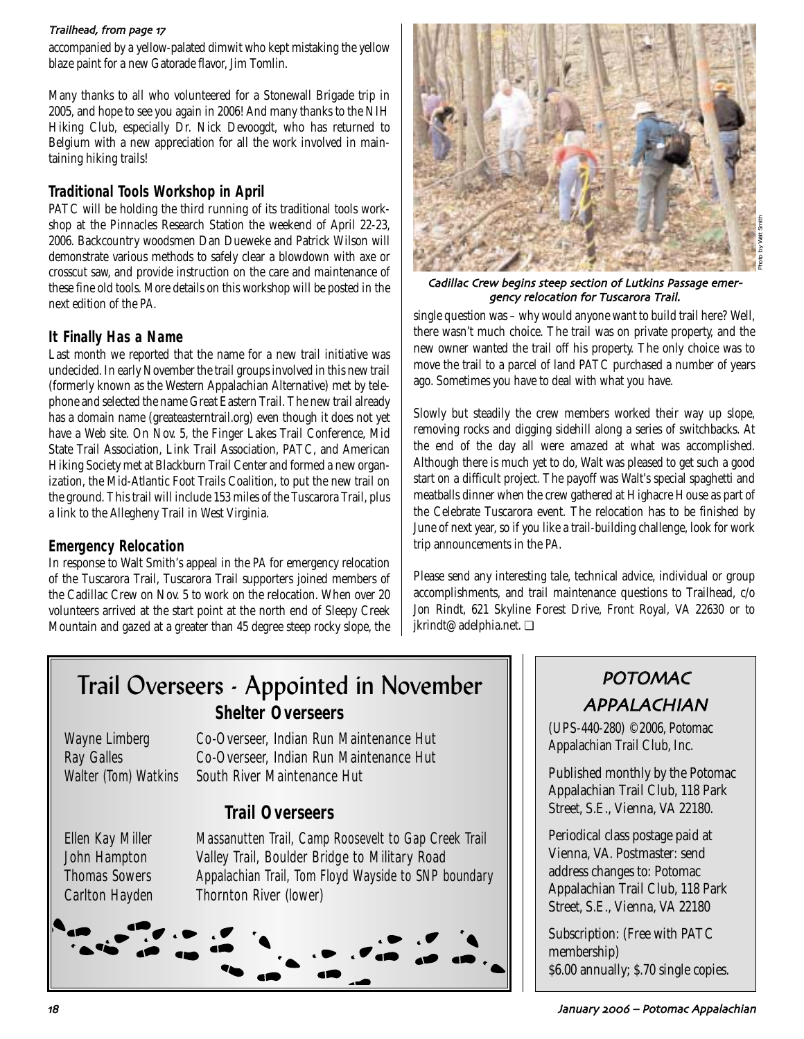#### Trailhead, from page 17

accompanied by a yellow-palated dimwit who kept mistaking the yellow blaze paint for a new Gatorade flavor, Jim Tomlin.

Many thanks to all who volunteered for a Stonewall Brigade trip in 2005, and hope to see you again in 2006! And many thanks to the NIH Hiking Club, especially Dr. Nick Devoogdt, who has returned to Belgium with a new appreciation for all the work involved in maintaining hiking trails!

## **Traditional Tools Workshop in April**

PATC will be holding the third running of its traditional tools workshop at the Pinnacles Research Station the weekend of April 22-23, 2006. Backcountry woodsmen Dan Dueweke and Patrick Wilson will demonstrate various methods to safely clear a blowdown with axe or crosscut saw, and provide instruction on the care and maintenance of these fine old tools. More details on this workshop will be posted in the next edition of the *PA*.

### **It Finally Has a Name**

Last month we reported that the name for a new trail initiative was undecided. In early November the trail groups involved in this new trail (formerly known as the Western Appalachian Alternative) met by telephone and selected the name Great Eastern Trail. The new trail already has a domain name (greateasterntrail.org) even though it does not yet have a Web site. On Nov. 5, the Finger Lakes Trail Conference, Mid State Trail Association, Link Trail Association, PATC, and American Hiking Society met at Blackburn Trail Center and formed a new organization, the Mid-Atlantic Foot Trails Coalition, to put the new trail on the ground. This trail will include 153 miles of the Tuscarora Trail, plus a link to the Allegheny Trail in West Virginia.

### **Emergency Relocation**

In response to Walt Smith's appeal in the *PA* for emergency relocation of the Tuscarora Trail, Tuscarora Trail supporters joined members of the Cadillac Crew on Nov. 5 to work on the relocation. When over 20 volunteers arrived at the start point at the north end of Sleepy Creek Mountain and gazed at a greater than 45 degree steep rocky slope, the



Cadillac Crew begins steep section of Lutkins Passage emergency relocation for Tuscarora Trail

single question was – why would anyone want to build trail here? Well, there wasn't much choice. The trail was on private property, and the new owner wanted the trail off his property. The only choice was to move the trail to a parcel of land PATC purchased a number of years ago. Sometimes you have to deal with what you have.

Slowly but steadily the crew members worked their way up slope, removing rocks and digging sidehill along a series of switchbacks. At the end of the day all were amazed at what was accomplished. Although there is much yet to do, Walt was pleased to get such a good start on a difficult project. The payoff was Walt's special spaghetti and meatballs dinner when the crew gathered at Highacre House as part of the Celebrate Tuscarora event. The relocation has to be finished by June of next year, so if you like a trail-building challenge, look for work trip announcements in the *PA*.

Please send any interesting tale, technical advice, individual or group accomplishments, and trail maintenance questions to Trailhead, c/o Jon Rindt, 621 Skyline Forest Drive, Front Royal, VA 22630 or to jkrindt@adelphia.net. ❏

## Trail Overseers - Appointed in November *Shelter Overseers*

Wayne Limberg Co-Overseer, Indian Run Maintenance Hut Ray Galles Co-Overseer, Indian Run Maintenance Hut Walter (Tom) Watkins South River Maintenance Hut

## *Trail Overseers*

Ellen Kay Miller Massanutten Trail, Camp Roosevelt to Gap Creek Trail John Hampton Valley Trail, Boulder Bridge to Military Road Thomas Sowers Appalachian Trail, Tom Floyd Wayside to SNP boundary Carlton Hayden Thornton River (lower)



## POTOMAC APPALACHIAN

(UPS-440-280) ©2006, Potomac Appalachian Trail Club, Inc.

Published monthly by the Potomac Appalachian Trail Club, 118 Park Street, S.E., Vienna, VA 22180.

Periodical class postage paid at Vienna, VA. Postmaster: send address changes to: Potomac Appalachian Trail Club, 118 Park Street, S.E., Vienna, VA 22180

Subscription: (Free with PATC membership) \$6.00 annually; \$.70 single copies.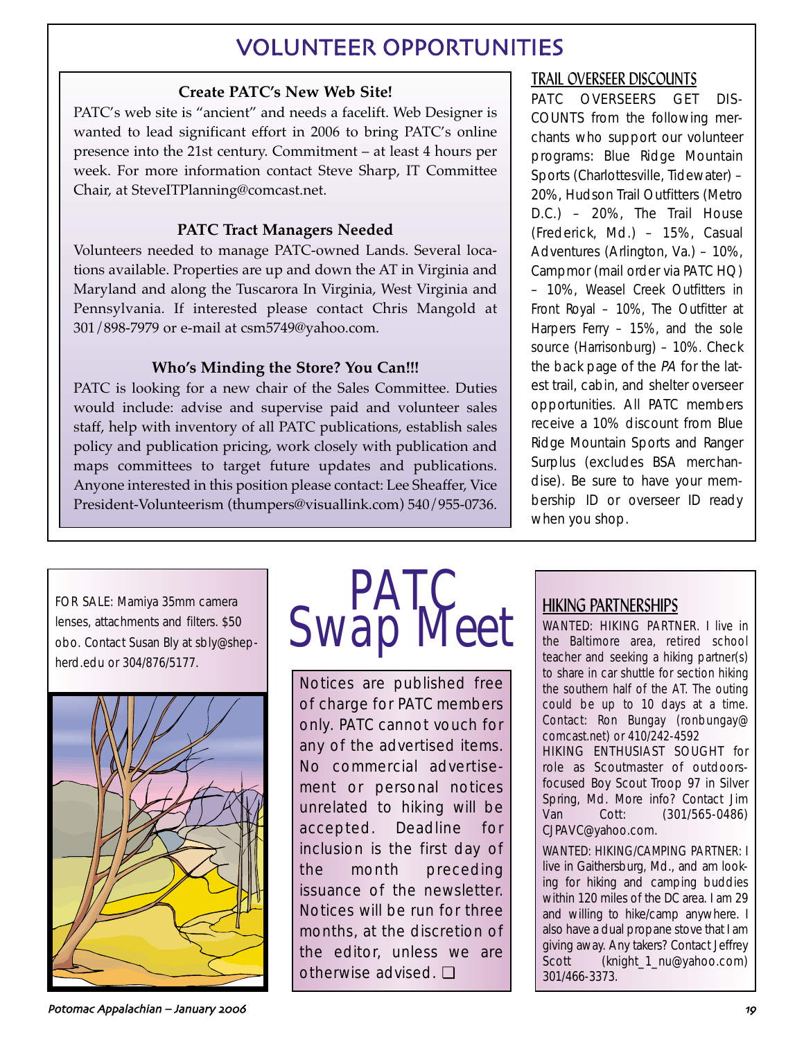## VOLUNTEER OPPORTUNITIES

## **Create PATC's New Web Site!**

PATC's web site is "ancient" and needs a facelift. Web Designer is wanted to lead significant effort in 2006 to bring PATC's online presence into the 21st century. Commitment – at least 4 hours per week. For more information contact Steve Sharp, IT Committee Chair, at SteveITPlanning@comcast.net.

## **PATC Tract Managers Needed**

Volunteers needed to manage PATC-owned Lands. Several locations available. Properties are up and down the AT in Virginia and Maryland and along the Tuscarora In Virginia, West Virginia and Pennsylvania. If interested please contact Chris Mangold at 301/898-7979 or e-mail at csm5749@yahoo.com.

## **Who's Minding the Store? You Can!!!**

PATC is looking for a new chair of the Sales Committee. Duties would include: advise and supervise paid and volunteer sales staff, help with inventory of all PATC publications, establish sales policy and publication pricing, work closely with publication and maps committees to target future updates and publications. Anyone interested in this position please contact: Lee Sheaffer, Vice President-Volunteerism (thumpers@visuallink.com) 540/955-0736.

## TRAIL OVERSEER DISCOUNTS

PATC OVERSEERS GET DIS-COUNTS from the following merchants who support our volunteer programs: Blue Ridge Mountain Sports (Charlottesville, Tidewater) – 20%, Hudson Trail Outfitters (Metro D.C.) – 20%, The Trail House (Frederick, Md.) – 15%, Casual Adventures (Arlington, Va.) – 10%, Campmor (mail order via PATC HQ) – 10%, Weasel Creek Outfitters in Front Royal – 10%, The Outfitter at Harpers Ferry – 15%, and the sole source (Harrisonburg) – 10%. Check the back page of the PA for the latest trail, cabin, and shelter overseer opportunities. All PATC members receive a 10% discount from Blue Ridge Mountain Sports and Ranger Surplus (excludes BSA merchandise). Be sure to have your membership ID or overseer ID ready when you shop.

FOR SALE: Mamiya 35mm camera lenses, attachments and filters. \$50 obo. Contact Susan Bly at sbly@shepherd.edu or 304/876/5177.





Notices are published free of charge for PATC members only. PATC cannot vouch for any of the advertised items. No commercial advertisement or personal notices unrelated to hiking will be accepted. Deadline for inclusion is the first day of the month preceding issuance of the newsletter. Notices will be run for three months, at the discretion of the editor, unless we are otherwise advised. ❏

## HIKING PARTNERSHIPS

WANTED: HIKING PARTNER. I live in the Baltimore area, retired school teacher and seeking a hiking partner(s) to share in car shuttle for section hiking the southern half of the AT. The outing could be up to 10 days at a time. Contact: Ron Bungay (ronbungay@ comcast.net) or 410/242-4592

HIKING ENTHUSIAST SOUGHT for role as Scoutmaster of outdoorsfocused Boy Scout Troop 97 in Silver Spring, Md. More info? Contact Jim Van Cott: (301/565-0486) CJPAVC@yahoo.com.

WANTED: HIKING/CAMPING PARTNER: I live in Gaithersburg, Md., and am looking for hiking and camping buddies within 120 miles of the DC area. I am 29 and willing to hike/camp anywhere. I also have a dual propane stove that I am giving away. Any takers? Contact Jeffrey Scott (knight\_1\_nu@yahoo.com) 301/466-3373.

Potomac Appalachian – January %%& ->